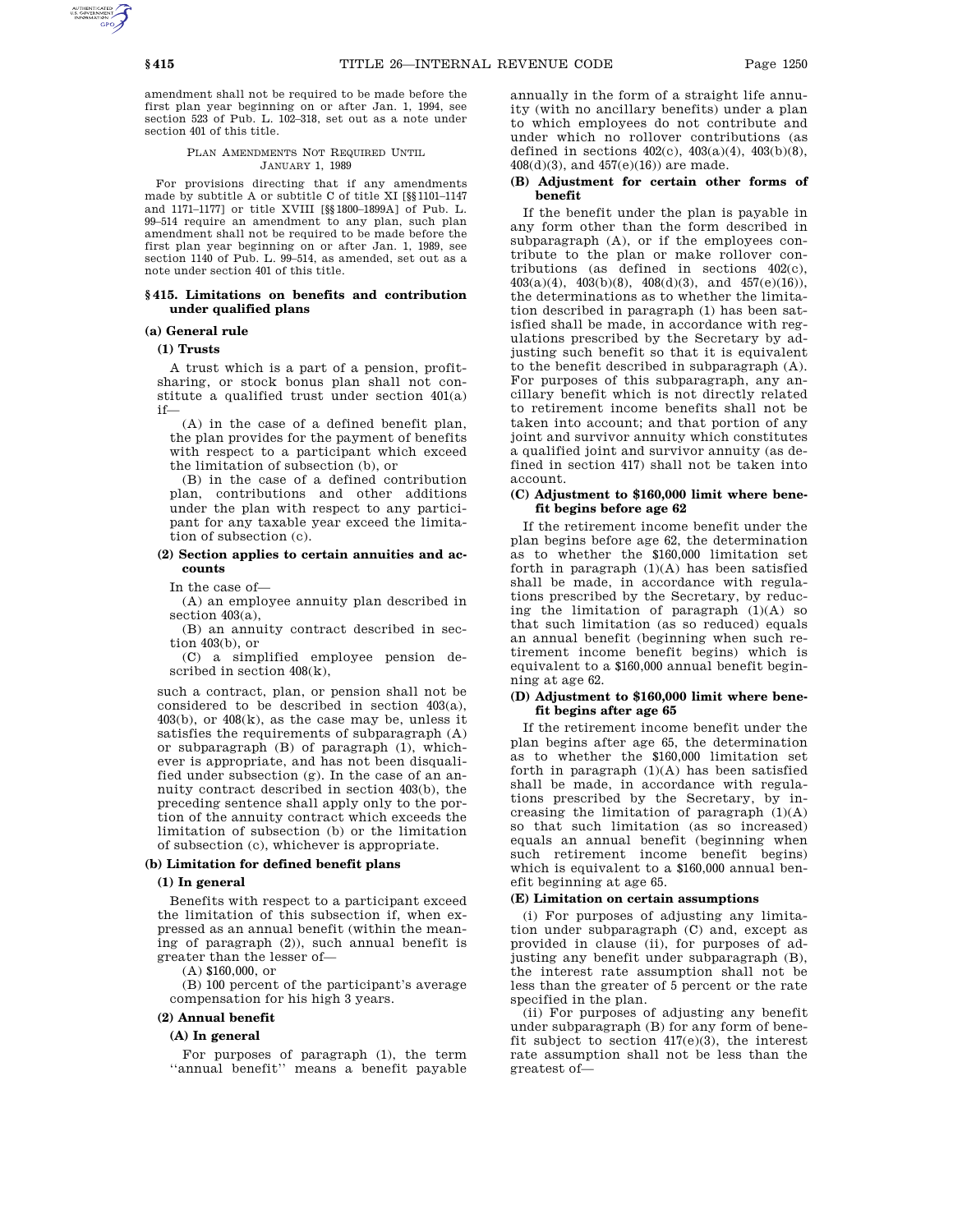amendment shall not be required to be made before the first plan year beginning on or after Jan. 1, 1994, see section 523 of Pub. L. 102–318, set out as a note under section 401 of this title.

### PLAN AMENDMENTS NOT REQUIRED UNTIL JANUARY 1, 1989

For provisions directing that if any amendments made by subtitle A or subtitle C of title XI [§§1101–1147 and 1171–1177] or title XVIII [§§1800–1899A] of Pub. L. 99–514 require an amendment to any plan, such plan amendment shall not be required to be made before the first plan year beginning on or after Jan. 1, 1989, see section 1140 of Pub. L. 99–514, as amended, set out as a note under section 401 of this title.

### **§ 415. Limitations on benefits and contribution under qualified plans**

## **(a) General rule**

## **(1) Trusts**

A trust which is a part of a pension, profitsharing, or stock bonus plan shall not constitute a qualified trust under section 401(a) if—

(A) in the case of a defined benefit plan, the plan provides for the payment of benefits with respect to a participant which exceed the limitation of subsection (b), or

(B) in the case of a defined contribution plan, contributions and other additions under the plan with respect to any participant for any taxable year exceed the limitation of subsection (c).

### **(2) Section applies to certain annuities and accounts**

In the case of—

(A) an employee annuity plan described in section  $403(a)$ .

(B) an annuity contract described in section 403(b), or

(C) a simplified employee pension described in section 408(k),

such a contract, plan, or pension shall not be considered to be described in section 403(a),  $403(b)$ , or  $408(k)$ , as the case may be, unless it satisfies the requirements of subparagraph (A) or subparagraph (B) of paragraph (1), whichever is appropriate, and has not been disqualified under subsection (g). In the case of an annuity contract described in section 403(b), the preceding sentence shall apply only to the portion of the annuity contract which exceeds the limitation of subsection (b) or the limitation of subsection (c), whichever is appropriate.

## **(b) Limitation for defined benefit plans**

### **(1) In general**

Benefits with respect to a participant exceed the limitation of this subsection if, when expressed as an annual benefit (within the meaning of paragraph (2)), such annual benefit is greater than the lesser of—

(A) \$160,000, or

(B) 100 percent of the participant's average compensation for his high 3 years.

#### **(2) Annual benefit**

#### **(A) In general**

For purposes of paragraph (1), the term ''annual benefit'' means a benefit payable annually in the form of a straight life annuity (with no ancillary benefits) under a plan to which employees do not contribute and under which no rollover contributions (as defined in sections  $402(c)$ ,  $403(a)(4)$ ,  $403(b)(8)$ , 408(d)(3), and 457(e)(16)) are made.

## **(B) Adjustment for certain other forms of benefit**

If the benefit under the plan is payable in any form other than the form described in subparagraph (A), or if the employees contribute to the plan or make rollover contributions (as defined in sections 402(c), 403(a)(4), 403(b)(8), 408(d)(3), and 457(e)(16)), the determinations as to whether the limitation described in paragraph (1) has been satisfied shall be made, in accordance with regulations prescribed by the Secretary by adjusting such benefit so that it is equivalent to the benefit described in subparagraph (A). For purposes of this subparagraph, any ancillary benefit which is not directly related to retirement income benefits shall not be taken into account; and that portion of any joint and survivor annuity which constitutes a qualified joint and survivor annuity (as defined in section 417) shall not be taken into account.

### **(C) Adjustment to \$160,000 limit where benefit begins before age 62**

If the retirement income benefit under the plan begins before age 62, the determination as to whether the \$160,000 limitation set forth in paragraph  $(1)(A)$  has been satisfied shall be made, in accordance with regulations prescribed by the Secretary, by reducing the limitation of paragraph  $(1)(A)$  so that such limitation (as so reduced) equals an annual benefit (beginning when such retirement income benefit begins) which is equivalent to a \$160,000 annual benefit beginning at age 62.

#### **(D) Adjustment to \$160,000 limit where benefit begins after age 65**

If the retirement income benefit under the plan begins after age 65, the determination as to whether the \$160,000 limitation set forth in paragraph  $(1)(A)$  has been satisfied shall be made, in accordance with regulations prescribed by the Secretary, by increasing the limitation of paragraph (1)(A) so that such limitation (as so increased) equals an annual benefit (beginning when such retirement income benefit begins) which is equivalent to a \$160,000 annual benefit beginning at age 65.

#### **(E) Limitation on certain assumptions**

(i) For purposes of adjusting any limitation under subparagraph (C) and, except as provided in clause (ii), for purposes of adjusting any benefit under subparagraph (B), the interest rate assumption shall not be less than the greater of 5 percent or the rate specified in the plan.

(ii) For purposes of adjusting any benefit under subparagraph (B) for any form of benefit subject to section  $417(e)(3)$ , the interest rate assumption shall not be less than the greatest of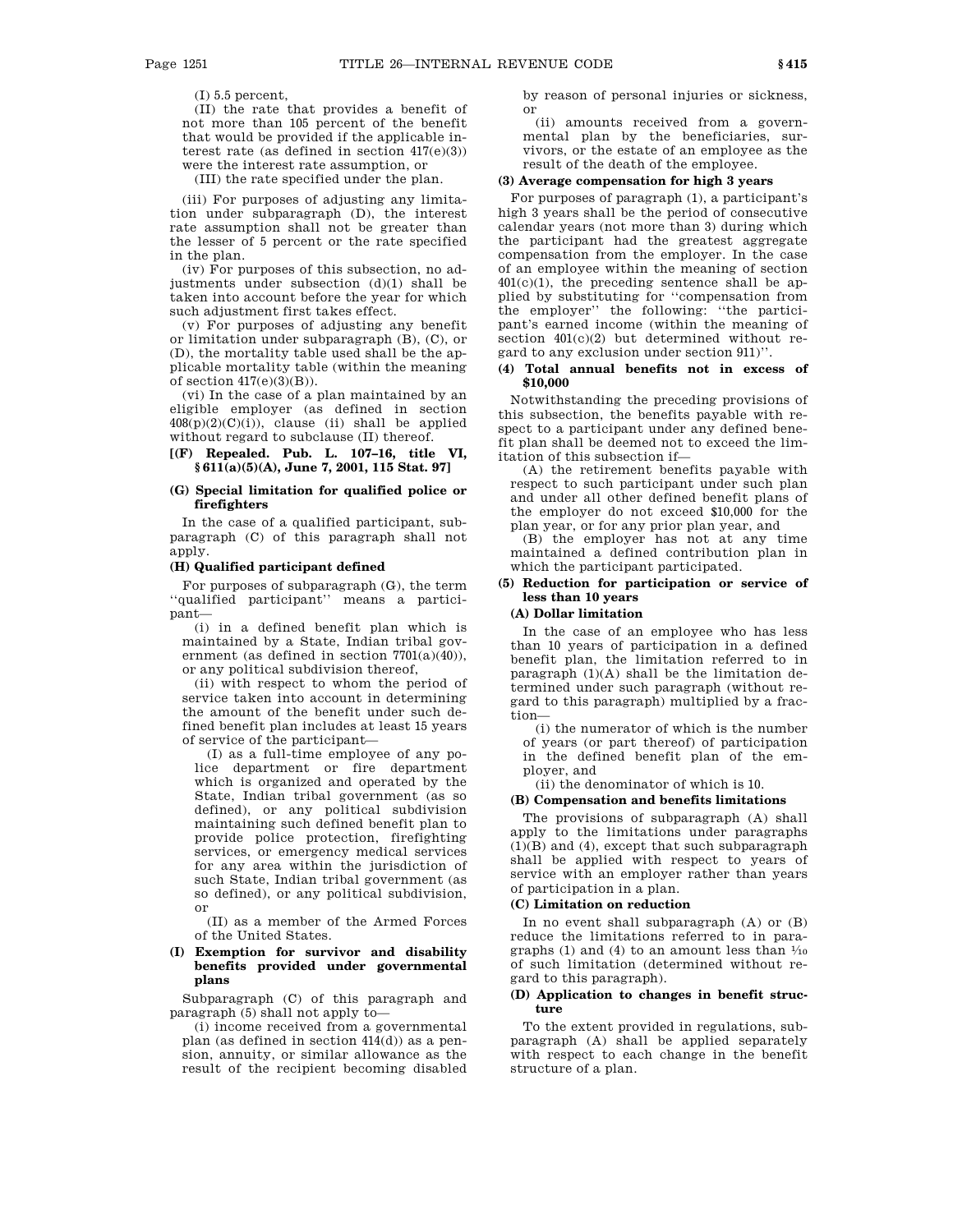(I) 5.5 percent,

(II) the rate that provides a benefit of not more than 105 percent of the benefit that would be provided if the applicable interest rate (as defined in section  $417(e)(3)$ ) were the interest rate assumption, or

(III) the rate specified under the plan.

(iii) For purposes of adjusting any limitation under subparagraph (D), the interest rate assumption shall not be greater than the lesser of 5 percent or the rate specified in the plan.

(iv) For purposes of this subsection, no adjustments under subsection (d)(1) shall be taken into account before the year for which such adjustment first takes effect.

(v) For purposes of adjusting any benefit or limitation under subparagraph (B), (C), or (D), the mortality table used shall be the applicable mortality table (within the meaning of section  $417(e)(3)(B)$ ).

(vi) In the case of a plan maintained by an eligible employer (as defined in section  $408(p)(2)(C)(i)$ , clause (ii) shall be applied without regard to subclause (II) thereof.

## **[(F) Repealed. Pub. L. 107–16, title VI, § 611(a)(5)(A), June 7, 2001, 115 Stat. 97]**

### **(G) Special limitation for qualified police or firefighters**

In the case of a qualified participant, subparagraph (C) of this paragraph shall not apply.

### **(H) Qualified participant defined**

For purposes of subparagraph (G), the term ''qualified participant'' means a participant—

(i) in a defined benefit plan which is maintained by a State, Indian tribal government (as defined in section 7701(a)(40)), or any political subdivision thereof,

(ii) with respect to whom the period of service taken into account in determining the amount of the benefit under such defined benefit plan includes at least 15 years of service of the participant—

(I) as a full-time employee of any police department or fire department which is organized and operated by the State, Indian tribal government (as so defined), or any political subdivision maintaining such defined benefit plan to provide police protection, firefighting services, or emergency medical services for any area within the jurisdiction of such State, Indian tribal government (as so defined), or any political subdivision, or

(II) as a member of the Armed Forces of the United States.

## **(I) Exemption for survivor and disability benefits provided under governmental plans**

Subparagraph (C) of this paragraph and paragraph (5) shall not apply to—

(i) income received from a governmental plan (as defined in section 414(d)) as a pension, annuity, or similar allowance as the result of the recipient becoming disabled by reason of personal injuries or sickness, or

(ii) amounts received from a governmental plan by the beneficiaries, survivors, or the estate of an employee as the result of the death of the employee.

# **(3) Average compensation for high 3 years**

For purposes of paragraph (1), a participant's high 3 years shall be the period of consecutive calendar years (not more than 3) during which the participant had the greatest aggregate compensation from the employer. In the case of an employee within the meaning of section 401(c)(1), the preceding sentence shall be applied by substituting for ''compensation from the employer'' the following: ''the participant's earned income (within the meaning of section  $401(c)(2)$  but determined without regard to any exclusion under section 911)''.

## **(4) Total annual benefits not in excess of \$10,000**

Notwithstanding the preceding provisions of this subsection, the benefits payable with respect to a participant under any defined benefit plan shall be deemed not to exceed the limitation of this subsection if—

(A) the retirement benefits payable with respect to such participant under such plan and under all other defined benefit plans of the employer do not exceed \$10,000 for the plan year, or for any prior plan year, and

(B) the employer has not at any time maintained a defined contribution plan in which the participant participated.

## **(5) Reduction for participation or service of less than 10 years**

## **(A) Dollar limitation**

In the case of an employee who has less than 10 years of participation in a defined benefit plan, the limitation referred to in paragraph  $(1)(A)$  shall be the limitation determined under such paragraph (without regard to this paragraph) multiplied by a fraction—

(i) the numerator of which is the number of years (or part thereof) of participation in the defined benefit plan of the employer, and

(ii) the denominator of which is 10.

## **(B) Compensation and benefits limitations**

The provisions of subparagraph (A) shall apply to the limitations under paragraphs  $(1)(B)$  and  $(4)$ , except that such subparagraph shall be applied with respect to years of service with an employer rather than years of participation in a plan.

## **(C) Limitation on reduction**

In no event shall subparagraph (A) or (B) reduce the limitations referred to in paragraphs  $(1)$  and  $(4)$  to an amount less than  $\frac{1}{10}$ of such limitation (determined without regard to this paragraph).

## **(D) Application to changes in benefit structure**

To the extent provided in regulations, subparagraph (A) shall be applied separately with respect to each change in the benefit structure of a plan.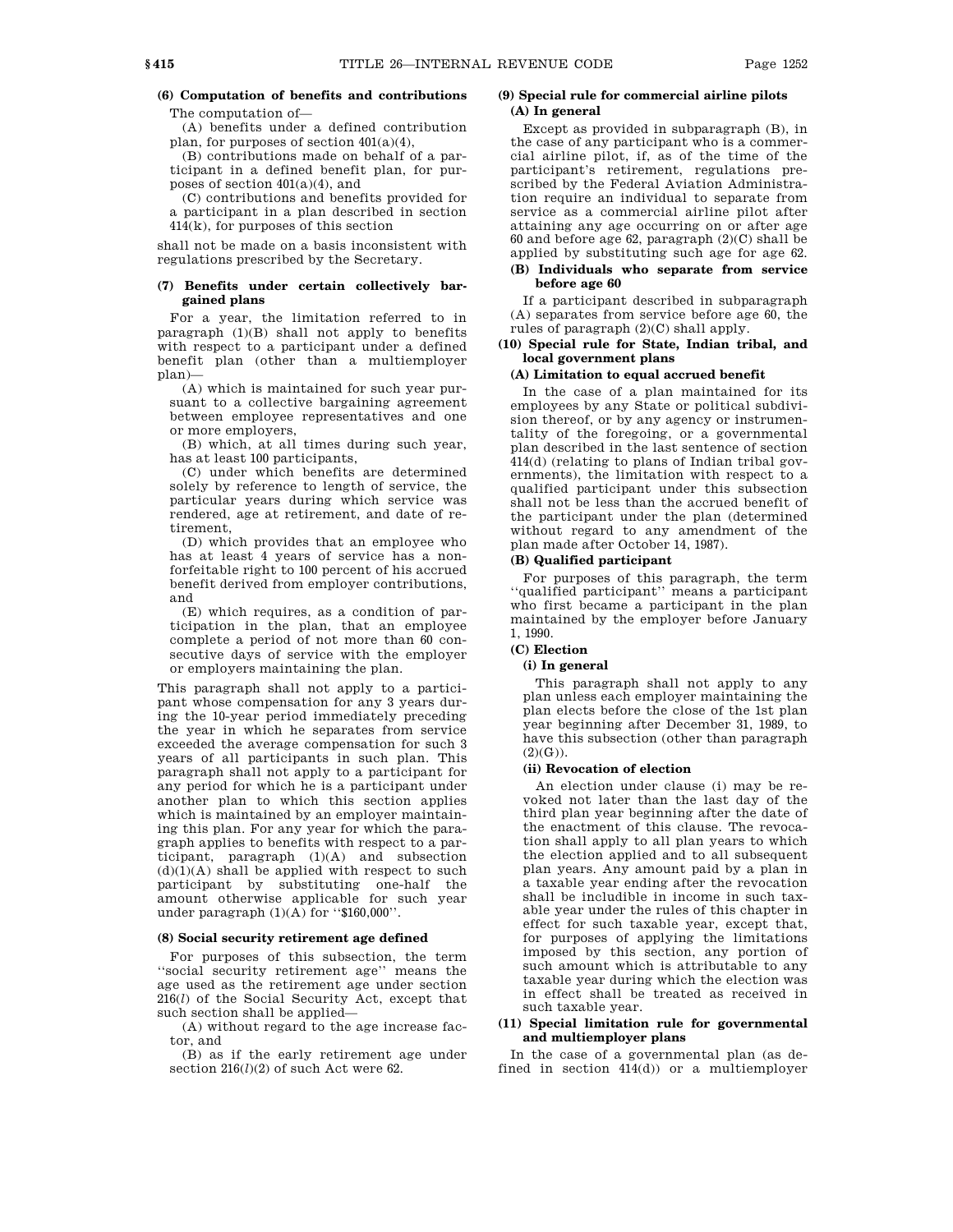# **(6) Computation of benefits and contributions**

The computation of—

(A) benefits under a defined contribution plan, for purposes of section  $401(a)(4)$ ,

(B) contributions made on behalf of a participant in a defined benefit plan, for purposes of section 401(a)(4), and

(C) contributions and benefits provided for a participant in a plan described in section 414(k), for purposes of this section

shall not be made on a basis inconsistent with regulations prescribed by the Secretary.

### **(7) Benefits under certain collectively bargained plans**

For a year, the limitation referred to in paragraph (1)(B) shall not apply to benefits with respect to a participant under a defined benefit plan (other than a multiemployer plan)—

(A) which is maintained for such year pursuant to a collective bargaining agreement between employee representatives and one or more employers,

(B) which, at all times during such year, has at least 100 participants,

(C) under which benefits are determined solely by reference to length of service, the particular years during which service was rendered, age at retirement, and date of retirement,

(D) which provides that an employee who has at least 4 years of service has a nonforfeitable right to 100 percent of his accrued benefit derived from employer contributions, and

(E) which requires, as a condition of participation in the plan, that an employee complete a period of not more than 60 consecutive days of service with the employer or employers maintaining the plan.

This paragraph shall not apply to a participant whose compensation for any 3 years during the 10-year period immediately preceding the year in which he separates from service exceeded the average compensation for such 3 years of all participants in such plan. This paragraph shall not apply to a participant for any period for which he is a participant under another plan to which this section applies which is maintained by an employer maintaining this plan. For any year for which the paragraph applies to benefits with respect to a participant, paragraph (1)(A) and subsection  $(d)(1)(A)$  shall be applied with respect to such participant by substituting one-half the amount otherwise applicable for such year under paragraph (1)(A) for "\$160,000".

#### **(8) Social security retirement age defined**

For purposes of this subsection, the term ''social security retirement age'' means the age used as the retirement age under section 216(*l*) of the Social Security Act, except that such section shall be applied—

(A) without regard to the age increase factor, and

(B) as if the early retirement age under section  $216(l)(2)$  of such Act were  $62.$ 

## **(9) Special rule for commercial airline pilots (A) In general**

Except as provided in subparagraph (B), in the case of any participant who is a commercial airline pilot, if, as of the time of the participant's retirement, regulations prescribed by the Federal Aviation Administration require an individual to separate from service as a commercial airline pilot after attaining any age occurring on or after age 60 and before age 62, paragraph (2)(C) shall be applied by substituting such age for age 62.

## **(B) Individuals who separate from service before age 60**

If a participant described in subparagraph (A) separates from service before age 60, the rules of paragraph (2)(C) shall apply.

### **(10) Special rule for State, Indian tribal, and local government plans**

## **(A) Limitation to equal accrued benefit**

In the case of a plan maintained for its employees by any State or political subdivision thereof, or by any agency or instrumentality of the foregoing, or a governmental plan described in the last sentence of section 414(d) (relating to plans of Indian tribal governments), the limitation with respect to a qualified participant under this subsection shall not be less than the accrued benefit of the participant under the plan (determined without regard to any amendment of the plan made after October 14, 1987).

### **(B) Qualified participant**

For purposes of this paragraph, the term ''qualified participant'' means a participant who first became a participant in the plan maintained by the employer before January 1, 1990.

## **(C) Election**

## **(i) In general**

This paragraph shall not apply to any plan unless each employer maintaining the plan elects before the close of the 1st plan year beginning after December 31, 1989, to have this subsection (other than paragraph  $(2)(G)$ ).

### **(ii) Revocation of election**

An election under clause (i) may be revoked not later than the last day of the third plan year beginning after the date of the enactment of this clause. The revocation shall apply to all plan years to which the election applied and to all subsequent plan years. Any amount paid by a plan in a taxable year ending after the revocation shall be includible in income in such taxable year under the rules of this chapter in effect for such taxable year, except that, for purposes of applying the limitations imposed by this section, any portion of such amount which is attributable to any taxable year during which the election was in effect shall be treated as received in such taxable year.

## **(11) Special limitation rule for governmental and multiemployer plans**

In the case of a governmental plan (as defined in section  $414(d)$ ) or a multiemployer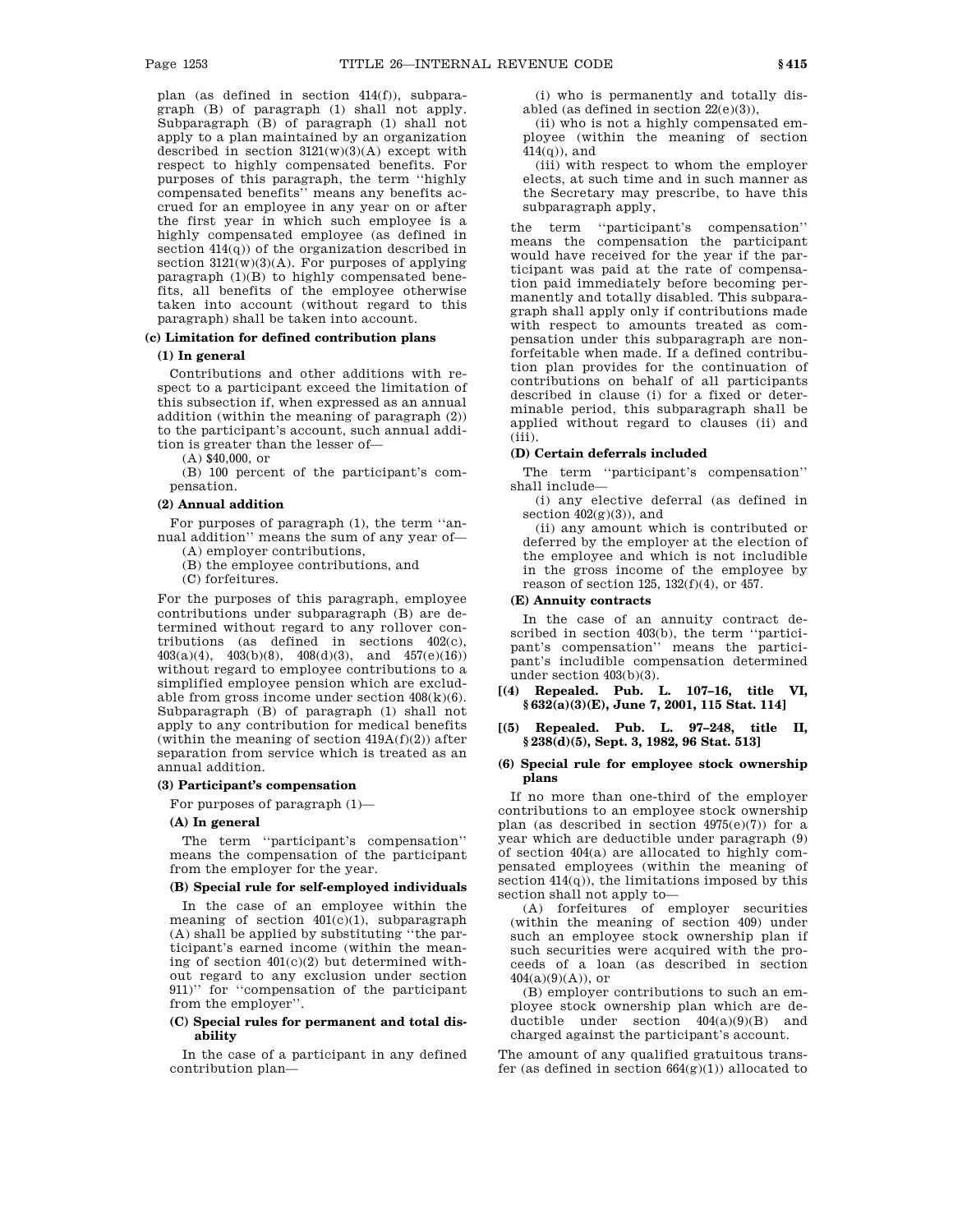plan (as defined in section 414(f)), subparagraph (B) of paragraph (1) shall not apply. Subparagraph (B) of paragraph (1) shall not apply to a plan maintained by an organization described in section  $3121(w)(3)(A)$  except with respect to highly compensated benefits. For purposes of this paragraph, the term ''highly compensated benefits'' means any benefits accrued for an employee in any year on or after the first year in which such employee is a highly compensated employee (as defined in section 414(q)) of the organization described in section  $3121(w)(3)(A)$ . For purposes of applying paragraph (1)(B) to highly compensated benefits, all benefits of the employee otherwise taken into account (without regard to this paragraph) shall be taken into account.

## **(c) Limitation for defined contribution plans**

## **(1) In general**

Contributions and other additions with respect to a participant exceed the limitation of this subsection if, when expressed as an annual addition (within the meaning of paragraph (2)) to the participant's account, such annual addition is greater than the lesser of—

(A) \$40,000, or

(B) 100 percent of the participant's compensation.

# **(2) Annual addition**

For purposes of paragraph (1), the term ''annual addition'' means the sum of any year of—

(A) employer contributions,

(B) the employee contributions, and

(C) forfeitures.

For the purposes of this paragraph, employee contributions under subparagraph (B) are determined without regard to any rollover contributions (as defined in sections 402(c), 403(a)(4), 403(b)(8), 408(d)(3), and 457(e)(16)) without regard to employee contributions to a simplified employee pension which are excludable from gross income under section  $408(k)(6)$ . Subparagraph (B) of paragraph (1) shall not apply to any contribution for medical benefits (within the meaning of section  $419A(f)(2)$ ) after separation from service which is treated as an annual addition.

## **(3) Participant's compensation**

For purposes of paragraph (1)—

#### **(A) In general**

The term ''participant's compensation'' means the compensation of the participant from the employer for the year.

## **(B) Special rule for self-employed individuals**

In the case of an employee within the meaning of section  $401(c)(1)$ , subparagraph (A) shall be applied by substituting ''the participant's earned income (within the meaning of section 401(c)(2) but determined without regard to any exclusion under section 911)'' for ''compensation of the participant from the employer''.

### **(C) Special rules for permanent and total disability**

In the case of a participant in any defined contribution plan—

(i) who is permanently and totally disabled (as defined in section 22(e)(3)),

(ii) who is not a highly compensated employee (within the meaning of section  $414(q)$ , and

(iii) with respect to whom the employer elects, at such time and in such manner as the Secretary may prescribe, to have this subparagraph apply,

the term ''participant's compensation'' means the compensation the participant would have received for the year if the participant was paid at the rate of compensation paid immediately before becoming permanently and totally disabled. This subparagraph shall apply only if contributions made with respect to amounts treated as compensation under this subparagraph are nonforfeitable when made. If a defined contribution plan provides for the continuation of contributions on behalf of all participants described in clause (i) for a fixed or determinable period, this subparagraph shall be applied without regard to clauses (ii) and (iii).

### **(D) Certain deferrals included**

The term ''participant's compensation'' shall include—

(i) any elective deferral (as defined in section  $402(g)(3)$ , and

(ii) any amount which is contributed or deferred by the employer at the election of the employee and which is not includible in the gross income of the employee by reason of section 125, 132(f)(4), or 457.

## **(E) Annuity contracts**

In the case of an annuity contract described in section 403(b), the term ''participant's compensation'' means the participant's includible compensation determined under section 403(b)(3).

**[(4) Repealed. Pub. L. 107–16, title VI, § 632(a)(3)(E), June 7, 2001, 115 Stat. 114]**

## **[(5) Repealed. Pub. L. 97–248, title II, § 238(d)(5), Sept. 3, 1982, 96 Stat. 513]**

### **(6) Special rule for employee stock ownership plans**

If no more than one-third of the employer contributions to an employee stock ownership plan (as described in section  $4975(e)(7)$ ) for a year which are deductible under paragraph (9) of section 404(a) are allocated to highly compensated employees (within the meaning of section  $414(q)$ , the limitations imposed by this section shall not apply to—

(A) forfeitures of employer securities (within the meaning of section 409) under such an employee stock ownership plan if such securities were acquired with the proceeds of a loan (as described in section 404(a)(9)(A)), or

(B) employer contributions to such an employee stock ownership plan which are deductible under section  $404(a)(9)(B)$  and charged against the participant's account.

The amount of any qualified gratuitous transfer (as defined in section  $664(g)(1)$ ) allocated to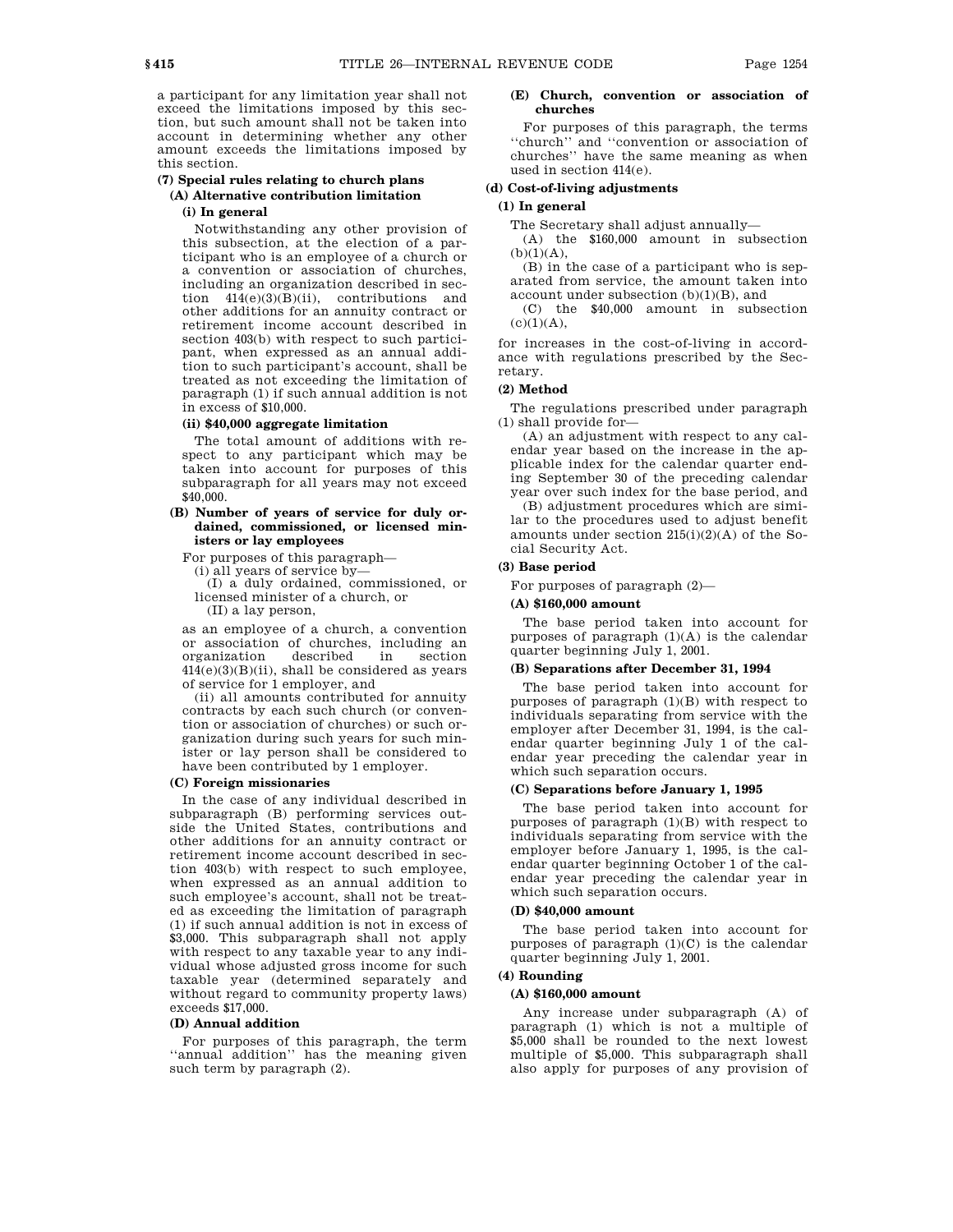a participant for any limitation year shall not exceed the limitations imposed by this section, but such amount shall not be taken into account in determining whether any other amount exceeds the limitations imposed by this section.

## **(7) Special rules relating to church plans (A) Alternative contribution limitation**

## **(i) In general**

Notwithstanding any other provision of this subsection, at the election of a participant who is an employee of a church or a convention or association of churches, including an organization described in section 414(e)(3)(B)(ii), contributions and other additions for an annuity contract or retirement income account described in section 403(b) with respect to such participant, when expressed as an annual addition to such participant's account, shall be treated as not exceeding the limitation of paragraph (1) if such annual addition is not in excess of \$10,000.

## **(ii) \$40,000 aggregate limitation**

The total amount of additions with respect to any participant which may be taken into account for purposes of this subparagraph for all years may not exceed \$40,000.

## **(B) Number of years of service for duly ordained, commissioned, or licensed ministers or lay employees**

For purposes of this paragraph—

(i) all years of service by—

(I) a duly ordained, commissioned, or licensed minister of a church, or (II) a lay person,

as an employee of a church, a convention or association of churches, including an organization described in  $414(e)(3)(B)(ii)$ , shall be considered as years of service for 1 employer, and

(ii) all amounts contributed for annuity contracts by each such church (or convention or association of churches) or such organization during such years for such minister or lay person shall be considered to have been contributed by 1 employer.

#### **(C) Foreign missionaries**

In the case of any individual described in subparagraph (B) performing services outside the United States, contributions and other additions for an annuity contract or retirement income account described in section 403(b) with respect to such employee, when expressed as an annual addition to such employee's account, shall not be treated as exceeding the limitation of paragraph (1) if such annual addition is not in excess of \$3,000. This subparagraph shall not apply with respect to any taxable year to any individual whose adjusted gross income for such taxable year (determined separately and without regard to community property laws) exceeds \$17,000.

## **(D) Annual addition**

For purposes of this paragraph, the term ''annual addition'' has the meaning given such term by paragraph (2).

## **(E) Church, convention or association of churches**

For purposes of this paragraph, the terms ''church'' and ''convention or association of churches'' have the same meaning as when used in section 414(e).

## **(d) Cost-of-living adjustments**

## **(1) In general**

The Secretary shall adjust annually—

(A) the \$160,000 amount in subsection  $(b)(1)(A)$ ,

(B) in the case of a participant who is separated from service, the amount taken into account under subsection (b)(1)(B), and

(C) the \$40,000 amount in subsection  $(c)(1)(A)$ ,

for increases in the cost-of-living in accordance with regulations prescribed by the Secretary.

## **(2) Method**

The regulations prescribed under paragraph (1) shall provide for—

(A) an adjustment with respect to any calendar year based on the increase in the applicable index for the calendar quarter ending September 30 of the preceding calendar year over such index for the base period, and

(B) adjustment procedures which are similar to the procedures used to adjust benefit amounts under section  $215(i)(2)(A)$  of the Social Security Act.

## **(3) Base period**

For purposes of paragraph (2)—

### **(A) \$160,000 amount**

The base period taken into account for purposes of paragraph (1)(A) is the calendar quarter beginning July 1, 2001.

## **(B) Separations after December 31, 1994**

The base period taken into account for purposes of paragraph (1)(B) with respect to individuals separating from service with the employer after December 31, 1994, is the calendar quarter beginning July 1 of the calendar year preceding the calendar year in which such separation occurs.

### **(C) Separations before January 1, 1995**

The base period taken into account for purposes of paragraph (1)(B) with respect to individuals separating from service with the employer before January 1, 1995, is the calendar quarter beginning October 1 of the calendar year preceding the calendar year in which such separation occurs.

### **(D) \$40,000 amount**

The base period taken into account for purposes of paragraph  $(1)(C)$  is the calendar quarter beginning July 1, 2001.

## **(4) Rounding**

## **(A) \$160,000 amount**

Any increase under subparagraph (A) of paragraph (1) which is not a multiple of \$5,000 shall be rounded to the next lowest multiple of \$5,000. This subparagraph shall also apply for purposes of any provision of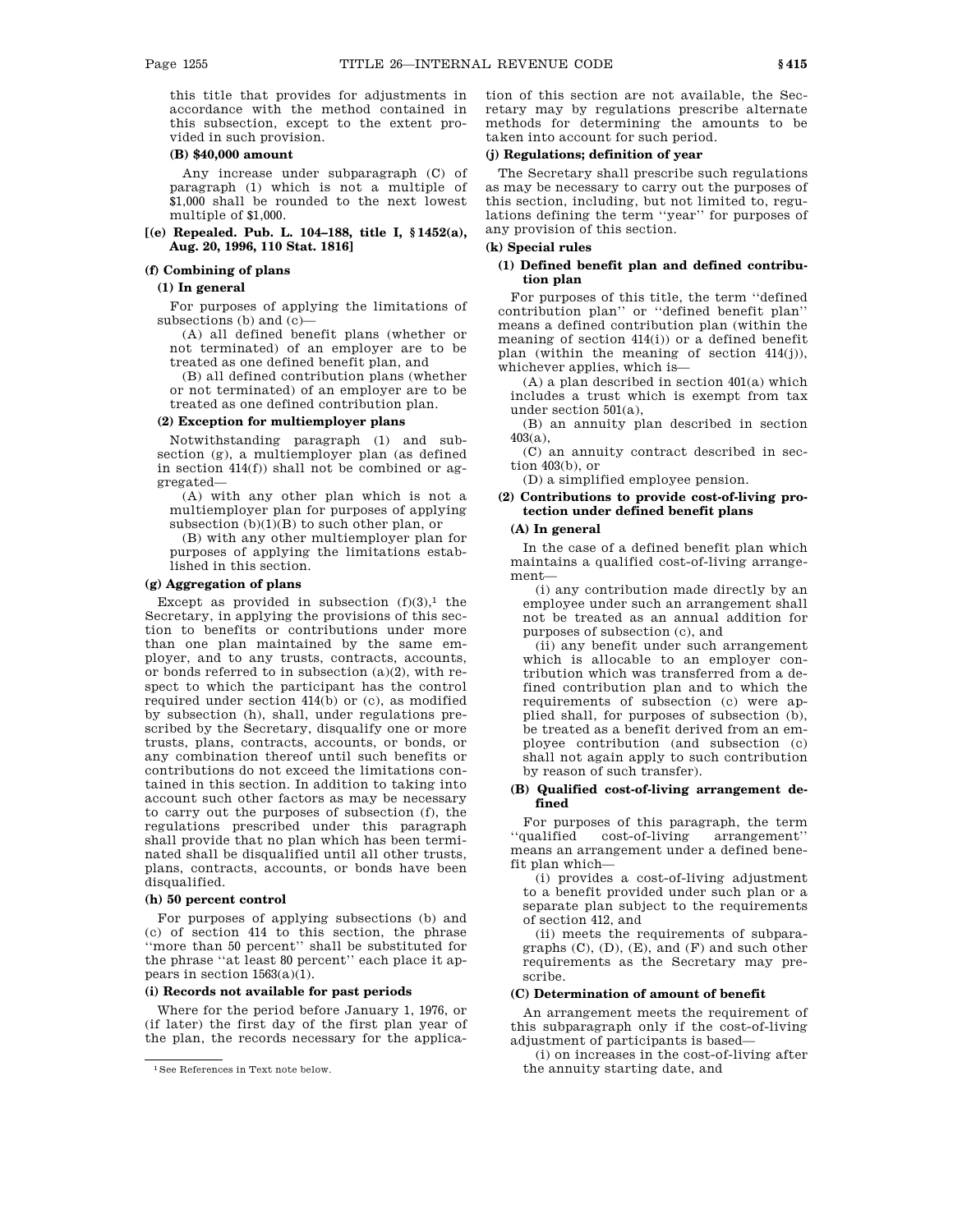this title that provides for adjustments in accordance with the method contained in this subsection, except to the extent provided in such provision.

### **(B) \$40,000 amount**

Any increase under subparagraph (C) of paragraph (1) which is not a multiple of \$1,000 shall be rounded to the next lowest multiple of \$1,000.

### **[(e) Repealed. Pub. L. 104–188, title I, § 1452(a), Aug. 20, 1996, 110 Stat. 1816]**

#### **(f) Combining of plans**

### **(1) In general**

For purposes of applying the limitations of subsections (b) and (c)—

(A) all defined benefit plans (whether or not terminated) of an employer are to be treated as one defined benefit plan, and

(B) all defined contribution plans (whether or not terminated) of an employer are to be treated as one defined contribution plan.

### **(2) Exception for multiemployer plans**

Notwithstanding paragraph (1) and subsection (g), a multiemployer plan (as defined in section  $414(f)$ ) shall not be combined or aggregated—

(A) with any other plan which is not a multiemployer plan for purposes of applying subsection  $(b)(1)(B)$  to such other plan, or

(B) with any other multiemployer plan for purposes of applying the limitations established in this section.

## **(g) Aggregation of plans**

Except as provided in subsection  $(f)(3)$ ,<sup>1</sup> the Secretary, in applying the provisions of this section to benefits or contributions under more than one plan maintained by the same employer, and to any trusts, contracts, accounts, or bonds referred to in subsection (a)(2), with respect to which the participant has the control required under section 414(b) or (c), as modified by subsection (h), shall, under regulations prescribed by the Secretary, disqualify one or more trusts, plans, contracts, accounts, or bonds, or any combination thereof until such benefits or contributions do not exceed the limitations contained in this section. In addition to taking into account such other factors as may be necessary to carry out the purposes of subsection (f), the regulations prescribed under this paragraph shall provide that no plan which has been terminated shall be disqualified until all other trusts, plans, contracts, accounts, or bonds have been disqualified.

## **(h) 50 percent control**

For purposes of applying subsections (b) and (c) of section 414 to this section, the phrase ''more than 50 percent'' shall be substituted for the phrase ''at least 80 percent'' each place it appears in section 1563(a)(1).

## **(i) Records not available for past periods**

Where for the period before January 1, 1976, or (if later) the first day of the first plan year of the plan, the records necessary for the applica-

tion of this section are not available, the Secretary may by regulations prescribe alternate methods for determining the amounts to be taken into account for such period.

## **(j) Regulations; definition of year**

The Secretary shall prescribe such regulations as may be necessary to carry out the purposes of this section, including, but not limited to, regulations defining the term ''year'' for purposes of any provision of this section.

### **(k) Special rules**

## **(1) Defined benefit plan and defined contribution plan**

For purposes of this title, the term ''defined contribution plan'' or ''defined benefit plan'' means a defined contribution plan (within the meaning of section 414(i)) or a defined benefit plan (within the meaning of section 414(j)), whichever applies, which is—

(A) a plan described in section 401(a) which includes a trust which is exempt from tax under section 501(a),

(B) an annuity plan described in section 403(a),

(C) an annuity contract described in section 403(b), or

(D) a simplified employee pension.

## **(2) Contributions to provide cost-of-living protection under defined benefit plans**

#### **(A) In general**

In the case of a defined benefit plan which maintains a qualified cost-of-living arrangement—

(i) any contribution made directly by an employee under such an arrangement shall not be treated as an annual addition for purposes of subsection (c), and

(ii) any benefit under such arrangement which is allocable to an employer contribution which was transferred from a defined contribution plan and to which the requirements of subsection (c) were applied shall, for purposes of subsection (b), be treated as a benefit derived from an employee contribution (and subsection (c) shall not again apply to such contribution by reason of such transfer).

### **(B) Qualified cost-of-living arrangement defined**

For purposes of this paragraph, the term<br>"qualified cost-of-living arrangement" cost-of-living arrangement' means an arrangement under a defined benefit plan which—

(i) provides a cost-of-living adjustment to a benefit provided under such plan or a separate plan subject to the requirements of section 412, and

(ii) meets the requirements of subparagraphs  $(C)$ ,  $(D)$ ,  $(E)$ , and  $(F)$  and such other requirements as the Secretary may prescribe.

## **(C) Determination of amount of benefit**

An arrangement meets the requirement of this subparagraph only if the cost-of-living adjustment of participants is based—

(i) on increases in the cost-of-living after the annuity starting date, and

<sup>1</sup>See References in Text note below.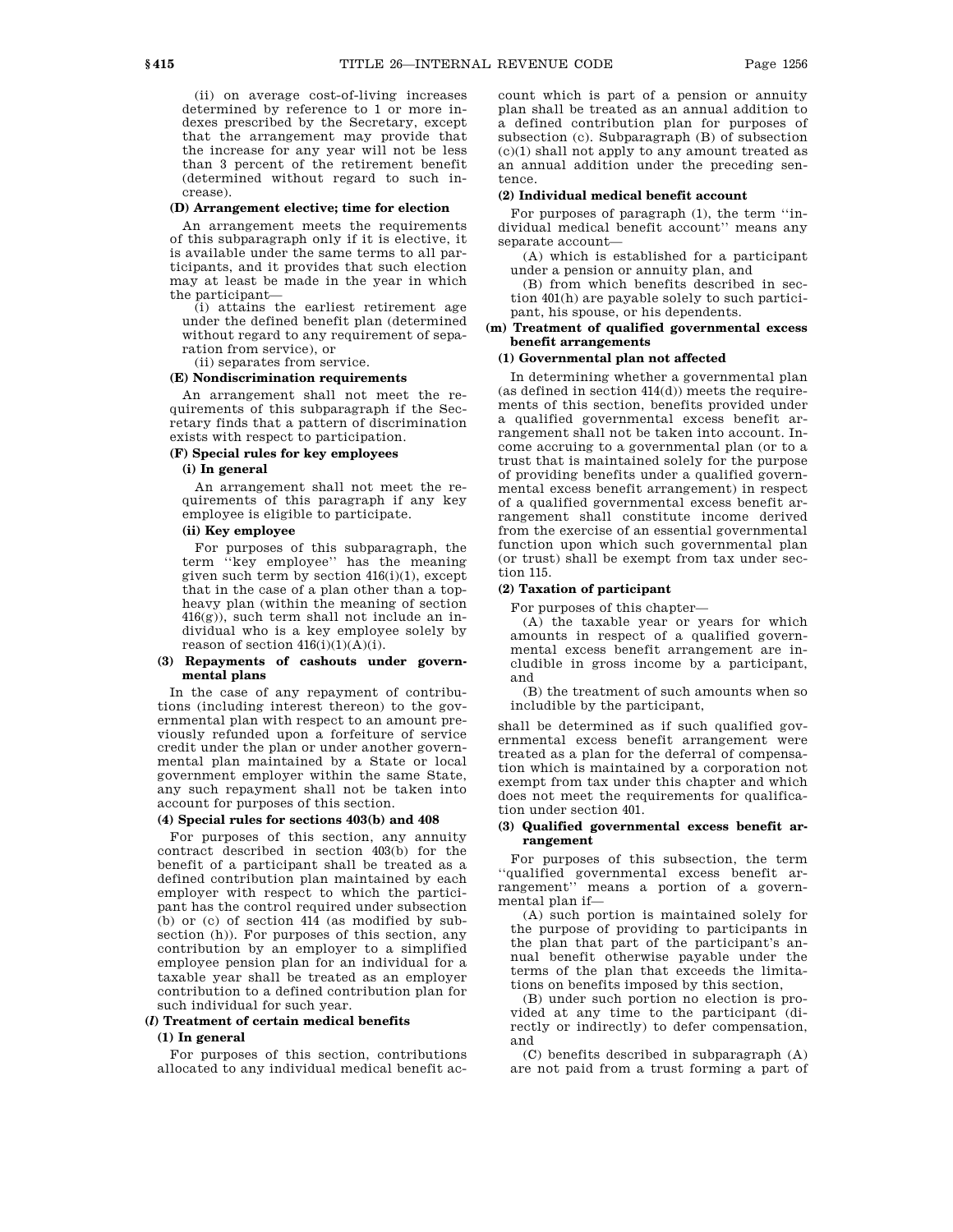(ii) on average cost-of-living increases determined by reference to 1 or more indexes prescribed by the Secretary, except that the arrangement may provide that the increase for any year will not be less than 3 percent of the retirement benefit (determined without regard to such increase).

#### **(D) Arrangement elective; time for election**

An arrangement meets the requirements of this subparagraph only if it is elective, it is available under the same terms to all participants, and it provides that such election may at least be made in the year in which the participant—

(i) attains the earliest retirement age under the defined benefit plan (determined without regard to any requirement of separation from service), or

(ii) separates from service.

## **(E) Nondiscrimination requirements**

An arrangement shall not meet the requirements of this subparagraph if the Secretary finds that a pattern of discrimination exists with respect to participation.

## **(F) Special rules for key employees**

## **(i) In general**

An arrangement shall not meet the requirements of this paragraph if any key employee is eligible to participate.

## **(ii) Key employee**

For purposes of this subparagraph, the term ''key employee'' has the meaning given such term by section  $416(i)(1)$ , except that in the case of a plan other than a topheavy plan (within the meaning of section 416(g)), such term shall not include an individual who is a key employee solely by reason of section  $416(i)(1)(A)(i)$ .

### **(3) Repayments of cashouts under governmental plans**

In the case of any repayment of contributions (including interest thereon) to the governmental plan with respect to an amount previously refunded upon a forfeiture of service credit under the plan or under another governmental plan maintained by a State or local government employer within the same State, any such repayment shall not be taken into account for purposes of this section.

#### **(4) Special rules for sections 403(b) and 408**

For purposes of this section, any annuity contract described in section 403(b) for the benefit of a participant shall be treated as a defined contribution plan maintained by each employer with respect to which the participant has the control required under subsection (b) or (c) of section 414 (as modified by subsection (h)). For purposes of this section, any contribution by an employer to a simplified employee pension plan for an individual for a taxable year shall be treated as an employer contribution to a defined contribution plan for such individual for such year.

### **(***l***) Treatment of certain medical benefits**

### **(1) In general**

For purposes of this section, contributions allocated to any individual medical benefit ac-

count which is part of a pension or annuity plan shall be treated as an annual addition to a defined contribution plan for purposes of subsection (c). Subparagraph (B) of subsection (c)(1) shall not apply to any amount treated as an annual addition under the preceding sentence.

#### **(2) Individual medical benefit account**

For purposes of paragraph (1), the term ''individual medical benefit account'' means any separate account—

(A) which is established for a participant under a pension or annuity plan, and

(B) from which benefits described in section 401(h) are payable solely to such participant, his spouse, or his dependents.

## **(m) Treatment of qualified governmental excess benefit arrangements**

## **(1) Governmental plan not affected**

In determining whether a governmental plan  $(as defined in section 414(d)) meets the require$ ments of this section, benefits provided under a qualified governmental excess benefit arrangement shall not be taken into account. Income accruing to a governmental plan (or to a trust that is maintained solely for the purpose of providing benefits under a qualified governmental excess benefit arrangement) in respect of a qualified governmental excess benefit arrangement shall constitute income derived from the exercise of an essential governmental function upon which such governmental plan (or trust) shall be exempt from tax under section 115.

#### **(2) Taxation of participant**

For purposes of this chapter—

(A) the taxable year or years for which amounts in respect of a qualified governmental excess benefit arrangement are includible in gross income by a participant, and

(B) the treatment of such amounts when so includible by the participant,

shall be determined as if such qualified governmental excess benefit arrangement were treated as a plan for the deferral of compensation which is maintained by a corporation not exempt from tax under this chapter and which does not meet the requirements for qualification under section 401.

## **(3) Qualified governmental excess benefit arrangement**

For purposes of this subsection, the term ''qualified governmental excess benefit arrangement'' means a portion of a governmental plan if—

(A) such portion is maintained solely for the purpose of providing to participants in the plan that part of the participant's annual benefit otherwise payable under the terms of the plan that exceeds the limitations on benefits imposed by this section,

(B) under such portion no election is provided at any time to the participant (directly or indirectly) to defer compensation, and

(C) benefits described in subparagraph (A) are not paid from a trust forming a part of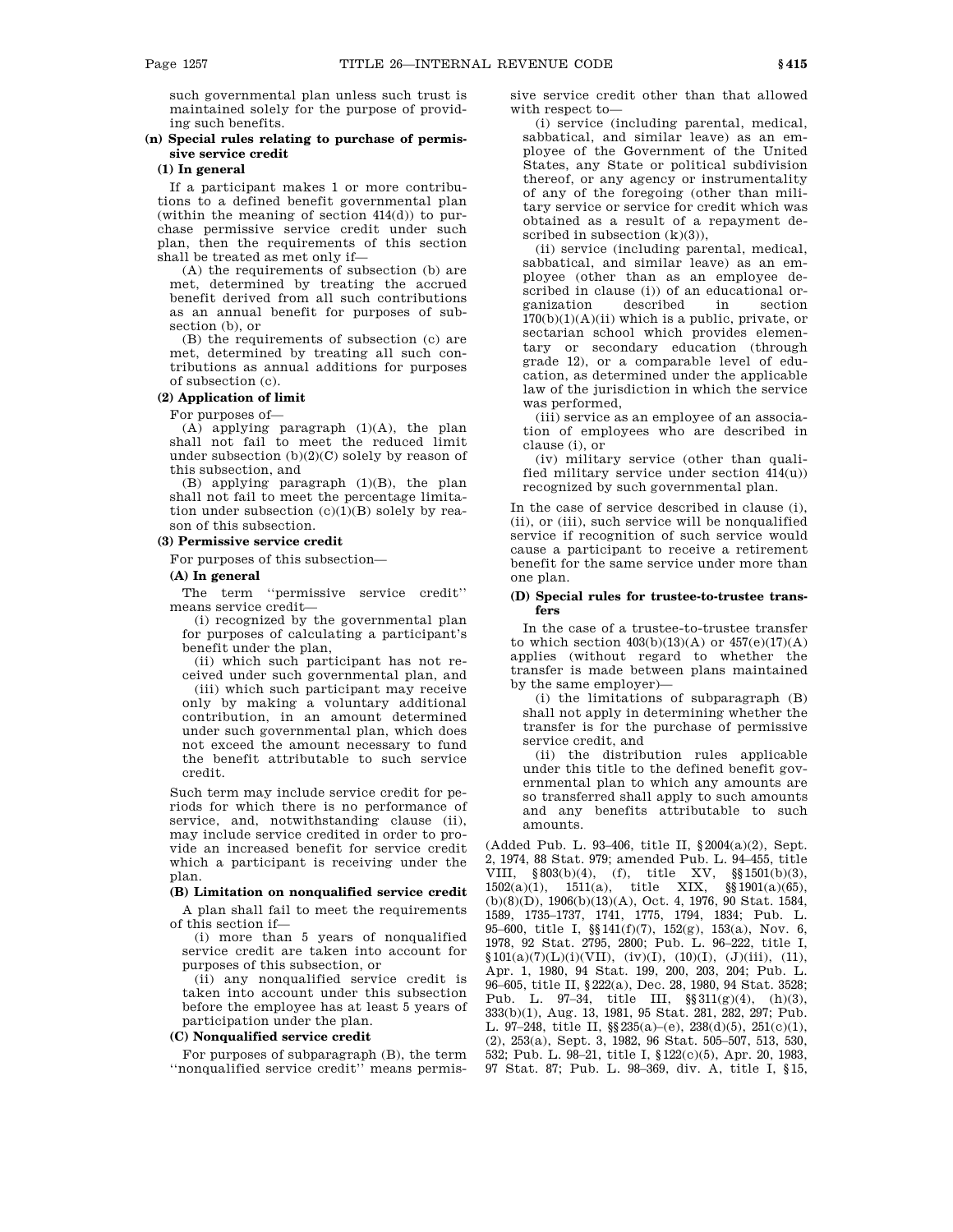such governmental plan unless such trust is maintained solely for the purpose of providing such benefits.

## **(n) Special rules relating to purchase of permissive service credit**

# **(1) In general**

If a participant makes 1 or more contributions to a defined benefit governmental plan (within the meaning of section  $414(d)$ ) to purchase permissive service credit under such plan, then the requirements of this section shall be treated as met only if—

(A) the requirements of subsection (b) are met, determined by treating the accrued benefit derived from all such contributions as an annual benefit for purposes of subsection (b), or

(B) the requirements of subsection (c) are met, determined by treating all such contributions as annual additions for purposes of subsection (c).

### **(2) Application of limit**

For purposes of—

(A) applying paragraph (1)(A), the plan shall not fail to meet the reduced limit under subsection  $(b)(2)(C)$  solely by reason of this subsection, and

(B) applying paragraph (1)(B), the plan shall not fail to meet the percentage limitation under subsection  $(c)(1)(B)$  solely by reason of this subsection.

## **(3) Permissive service credit**

For purposes of this subsection—

## **(A) In general**

The term ''permissive service credit'' means service credit—

(i) recognized by the governmental plan for purposes of calculating a participant's benefit under the plan,

(ii) which such participant has not received under such governmental plan, and

(iii) which such participant may receive only by making a voluntary additional contribution, in an amount determined under such governmental plan, which does not exceed the amount necessary to fund the benefit attributable to such service credit.

Such term may include service credit for periods for which there is no performance of service, and, notwithstanding clause (ii), may include service credited in order to provide an increased benefit for service credit which a participant is receiving under the plan.

#### **(B) Limitation on nonqualified service credit**

A plan shall fail to meet the requirements of this section if—

(i) more than 5 years of nonqualified service credit are taken into account for purposes of this subsection, or

(ii) any nonqualified service credit is taken into account under this subsection before the employee has at least 5 years of participation under the plan.

#### **(C) Nonqualified service credit**

For purposes of subparagraph (B), the term ''nonqualified service credit'' means permissive service credit other than that allowed with respect to—

(i) service (including parental, medical, sabbatical, and similar leave) as an employee of the Government of the United States, any State or political subdivision thereof, or any agency or instrumentality of any of the foregoing (other than military service or service for credit which was obtained as a result of a repayment described in subsection  $(k)(3)$ ).

(ii) service (including parental, medical, sabbatical, and similar leave) as an employee (other than as an employee described in clause (i)) of an educational or-<br>ganization described in section ganization described in section  $170(b)(1)(A)(ii)$  which is a public, private, or sectarian school which provides elementary or secondary education (through grade 12), or a comparable level of education, as determined under the applicable law of the jurisdiction in which the service was performed,

(iii) service as an employee of an association of employees who are described in clause (i), or

(iv) military service (other than qualified military service under section  $414(u)$ ) recognized by such governmental plan.

In the case of service described in clause (i), (ii), or (iii), such service will be nonqualified service if recognition of such service would cause a participant to receive a retirement benefit for the same service under more than one plan.

### **(D) Special rules for trustee-to-trustee transfers**

In the case of a trustee-to-trustee transfer to which section  $403(b)(13)(A)$  or  $457(e)(17)(A)$ applies (without regard to whether the transfer is made between plans maintained by the same employer)—

(i) the limitations of subparagraph (B) shall not apply in determining whether the transfer is for the purchase of permissive service credit, and

(ii) the distribution rules applicable under this title to the defined benefit governmental plan to which any amounts are so transferred shall apply to such amounts and any benefits attributable to such amounts.

(Added Pub. L. 93–406, title II, §2004(a)(2), Sept. 2, 1974, 88 Stat. 979; amended Pub. L. 94–455, title VIII, §803(b)(4), (f), title XV, §§1501(b)(3), 1502(a)(1), 1511(a), title XIX, §§1901(a)(65), (b)(8)(D), 1906(b)(13)(A), Oct. 4, 1976, 90 Stat. 1584, 1589, 1735–1737, 1741, 1775, 1794, 1834; Pub. L. 95–600, title I, §§141(f)(7), 152(g), 153(a), Nov. 6, 1978, 92 Stat. 2795, 2800; Pub. L. 96–222, title I,  $$101(a)(7)(L)(i)(VII), (iv)(I), (10)(I), (J)(iii), (11),$ Apr. 1, 1980, 94 Stat. 199, 200, 203, 204; Pub. L. 96–605, title II, §222(a), Dec. 28, 1980, 94 Stat. 3528; Pub. L. 97–34, title III, §§311(g)(4), (h)(3), 333(b)(1), Aug. 13, 1981, 95 Stat. 281, 282, 297; Pub. L. 97–248, title II, §§235(a)–(e), 238(d)(5), 251(c)(1), (2), 253(a), Sept. 3, 1982, 96 Stat. 505–507, 513, 530, 532; Pub. L. 98–21, title I, §122(c)(5), Apr. 20, 1983, 97 Stat. 87; Pub. L. 98–369, div. A, title I, §15,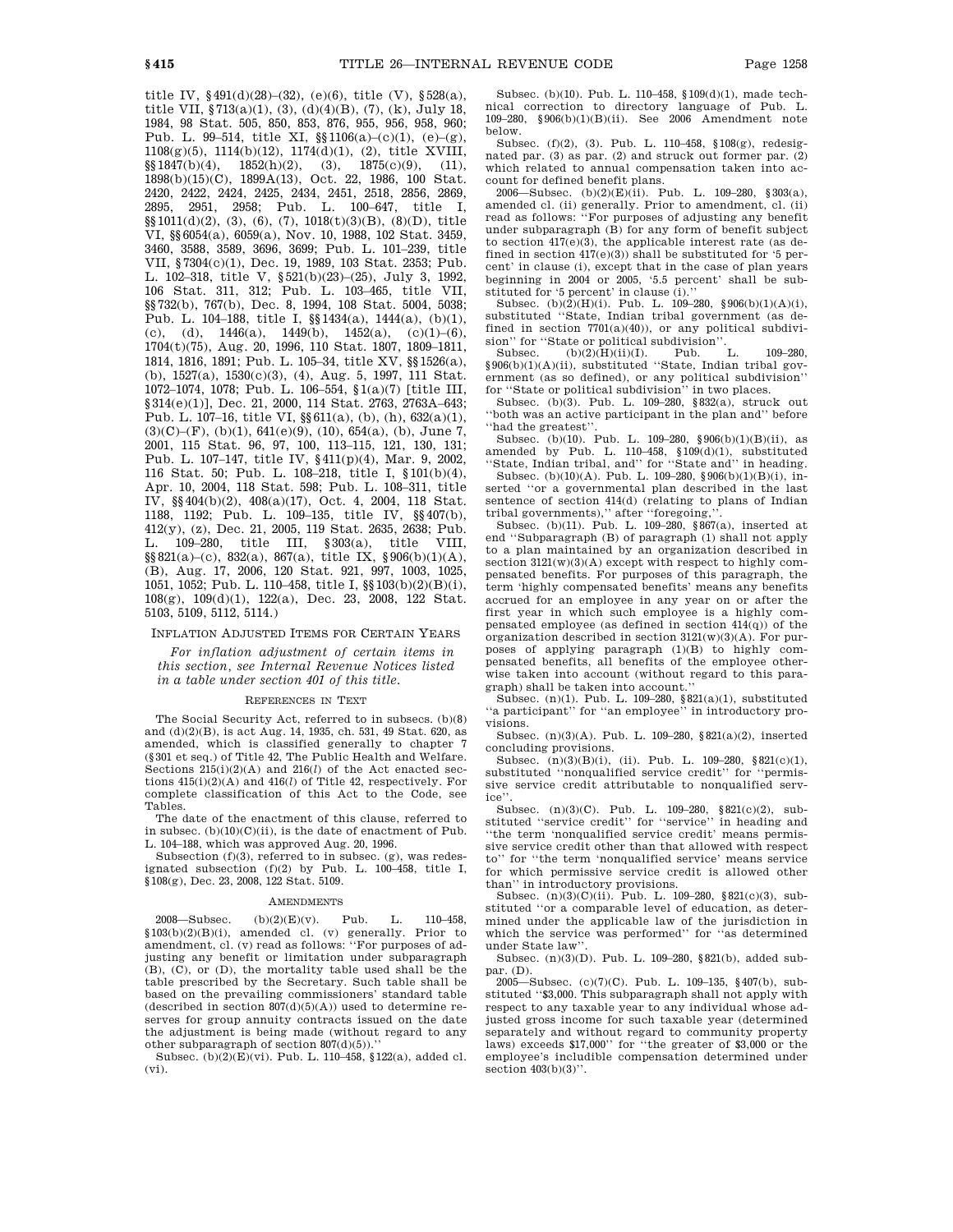title IV,  $§491(d)(28)–(32)$ , (e)(6), title (V),  $§528(a)$ , title VII, §713(a)(1), (3), (d)(4)(B), (7), (k), July 18, 1984, 98 Stat. 505, 850, 853, 876, 955, 956, 958, 960; Pub. L. 99–514, title XI, §§1106(a)–(c)(1), (e)–(g), 1108(g)(5), 1114(b)(12), 1174(d)(1), (2), title XVIII,  $\S$ §1847(b)(4), 1852(h)(2), (3), 1875(c)(9), (11), 1898(b)(15)(C), 1899A(13), Oct. 22, 1986, 100 Stat. 2420, 2422, 2424, 2425, 2434, 2451, 2518, 2856, 2869, 2895, 2951, 2958; Pub. L. 100–647, title I, §§1011(d)(2), (3), (6), (7), 1018(t)(3)(B), (8)(D), title VI, §§6054(a), 6059(a), Nov. 10, 1988, 102 Stat. 3459, 3460, 3588, 3589, 3696, 3699; Pub. L. 101–239, title VII, §7304(c)(1), Dec. 19, 1989, 103 Stat. 2353; Pub. L. 102–318, title V, §521(b)(23)–(25), July 3, 1992, 106 Stat. 311, 312; Pub. L. 103–465, title VII, §§732(b), 767(b), Dec. 8, 1994, 108 Stat. 5004, 5038; Pub. L. 104–188, title I, §§1434(a), 1444(a), (b)(1), (c), (d),  $1446(a)$ ,  $1449(b)$ ,  $1452(a)$ ,  $(c)(1)$ –(6), 1704(t)(75), Aug. 20, 1996, 110 Stat. 1807, 1809–1811, 1814, 1816, 1891; Pub. L. 105–34, title XV, §§1526(a), (b), 1527(a), 1530(c)(3), (4), Aug. 5, 1997, 111 Stat. 1072–1074, 1078; Pub. L. 106–554, §1(a)(7) [title III, §314(e)(1)], Dec. 21, 2000, 114 Stat. 2763, 2763A-643; Pub. L. 107–16, title VI, §§611(a), (b), (h), 632(a)(1),  $(3)(C)$ – $(F)$ ,  $(b)(1)$ ,  $641(e)(9)$ ,  $(10)$ ,  $654(a)$ ,  $(b)$ , June 7, 2001, 115 Stat. 96, 97, 100, 113–115, 121, 130, 131; Pub. L. 107–147, title IV, §411(p)(4), Mar. 9, 2002, 116 Stat. 50; Pub. L. 108–218, title I, §101(b)(4), Apr. 10, 2004, 118 Stat. 598; Pub. L. 108–311, title IV, §§404(b)(2), 408(a)(17), Oct. 4, 2004, 118 Stat. 1188, 1192; Pub. L. 109–135, title IV, §§407(b), 412(y), (z), Dec. 21, 2005, 119 Stat. 2635, 2638; Pub. L. 109–280, title III, §303(a), title VIII, §§821(a)–(c), 832(a), 867(a), title IX, §906(b)(1)(A),

(B), Aug. 17, 2006, 120 Stat. 921, 997, 1003, 1025, 1051, 1052; Pub. L. 110–458, title I, §§103(b)(2)(B)(i), 108(g), 109(d)(1), 122(a), Dec. 23, 2008, 122 Stat. 5103, 5109, 5112, 5114.)

### INFLATION ADJUSTED ITEMS FOR CERTAIN YEARS

*For inflation adjustment of certain items in this section, see Internal Revenue Notices listed in a table under section 401 of this title.*

#### REFERENCES IN TEXT

The Social Security Act, referred to in subsecs. (b)(8) and (d)(2)(B), is act Aug. 14, 1935, ch. 531, 49 Stat. 620, as amended, which is classified generally to chapter  $7$ (§301 et seq.) of Title 42, The Public Health and Welfare. Sections 215(i)(2)(A) and 216(*l*) of the Act enacted sections 415(i)(2)(A) and 416(*l*) of Title 42, respectively. For complete classification of this Act to the Code, see Tables.

The date of the enactment of this clause, referred to in subsec.  $(b)(10)(C)(ii)$ , is the date of enactment of Pub. L. 104–188, which was approved Aug. 20, 1996.

Subsection (f)(3), referred to in subsec. (g), was redesignated subsection (f)(2) by Pub. L. 100–458, title I, §108(g), Dec. 23, 2008, 122 Stat. 5109.

#### AMENDMENTS

2008—Subsec.  $(b)(2)(E)(v)$ . Pub. L. 110–458, §103(b)(2)(B)(i), amended cl. (v) generally. Prior to amendment, cl. (v) read as follows: ''For purposes of adjusting any benefit or limitation under subparagraph (B), (C), or (D), the mortality table used shall be the table prescribed by the Secretary. Such table shall be based on the prevailing commissioners' standard table (described in section  $807(d)(5)(A)$ ) used to determine reserves for group annuity contracts issued on the date the adjustment is being made (without regard to any other subparagraph of section  $807(d)(5)$ ).

Subsec. (b)(2)(E)(vi). Pub. L. 110–458, §122(a), added cl. (vi).

Subsec. (b)(10). Pub. L. 110–458, §109(d)(1), made technical correction to directory language of Pub. L. 109–280, §906(b)(1)(B)(ii). See 2006 Amendment note below.

Subsec. (f)(2), (3). Pub. L. 110–458, §108(g), redesignated par. (3) as par. (2) and struck out former par. (2) which related to annual compensation taken into account for defined benefit plans.

2006—Subsec. (b)(2)(E)(ii). Pub. L. 109–280, §303(a), amended cl. (ii) generally. Prior to amendment, cl. (ii) read as follows: ''For purposes of adjusting any benefit under subparagraph (B) for any form of benefit subject to section 417(e)(3), the applicable interest rate (as defined in section  $417(e)(3)$ ) shall be substituted for '5 percent' in clause (i), except that in the case of plan years beginning in 2004 or 2005, '5.5 percent' shall be substituted for '5 percent' in clause (i).''

Subsec. (b) $(2)(H)(i)$ . Pub. L. 109-280, §906(b)(1)(A)(i), substituted ''State, Indian tribal government (as defined in section  $7701(a)(40)$ , or any political subdivision'' for "State or political subdivision".<br>Subsec.  $(b)(2)(H)(ii)(I)$ . Pub. L.

 $(b)(2)(H)(ii)(I)$ . Pub. L. 109–280, §906(b)(1)(A)(ii), substituted ''State, Indian tribal government (as so defined), or any political subdivision'' for ''State or political subdivision'' in two places.

Subsec. (b)(3). Pub. L. 109–280, §832(a), struck out ''both was an active participant in the plan and'' before ''had the greatest''.

Subsec. (b)(10). Pub. L. 109–280, §906(b)(1)(B)(ii), as amended by Pub. L.  $110-458$ ,  $$109(d)(1)$ , substituted ''State, Indian tribal, and'' for ''State and'' in heading.

Subsec. (b)(10)(A). Pub. L. 109–280, §906(b)(1)(B)(i), inserted ''or a governmental plan described in the last sentence of section 414(d) (relating to plans of Indian tribal governments)," after "foregoing,

Subsec. (b)(11). Pub. L. 109–280, §867(a), inserted at end ''Subparagraph (B) of paragraph (1) shall not apply to a plan maintained by an organization described in section  $3121(w)(3)(A)$  except with respect to highly compensated benefits. For purposes of this paragraph, the term 'highly compensated benefits' means any benefits accrued for an employee in any year on or after the first year in which such employee is a highly compensated employee (as defined in section  $414(q)$ ) of the organization described in section  $3121(w)(3)(A)$ . For purposes of applying paragraph (1)(B) to highly compensated benefits, all benefits of the employee otherwise taken into account (without regard to this paragraph) shall be taken into account.''

Subsec. (n)(1). Pub. L. 109–280, §821(a)(1), substituted ''a participant'' for ''an employee'' in introductory provisions.

Subsec. (n)(3)(A). Pub. L. 109–280, §821(a)(2), inserted concluding provisions.

Subsec.  $(n)(3)(B)(i)$ , (ii). Pub. L. 109-280, §821(c)(1), substituted ''nonqualified service credit'' for ''permissive service credit attributable to nonqualified service'

Subsec. (n)(3)(C). Pub. L. 109–280, §821(c)(2), substituted ''service credit'' for ''service'' in heading and ''the term 'nonqualified service credit' means permissive service credit other than that allowed with respect to'' for ''the term 'nonqualified service' means service for which permissive service credit is allowed other than'' in introductory provisions.

Subsec. (n)(3)(C)(ii). Pub. L. 109–280, §821(c)(3), substituted "or a comparable level of education, as determined under the applicable law of the jurisdiction in which the service was performed'' for ''as determined under State law''.

Subsec. (n)(3)(D). Pub. L. 109–280, §821(b), added subpar. (D).

 $2005$ —Subsec. (c)(7)(C). Pub. L. 109–135, §407(b), substituted ''\$3,000. This subparagraph shall not apply with respect to any taxable year to any individual whose adjusted gross income for such taxable year (determined separately and without regard to community property laws) exceeds \$17,000'' for ''the greater of \$3,000 or the employee's includible compensation determined under section  $403(b)(3)$ ".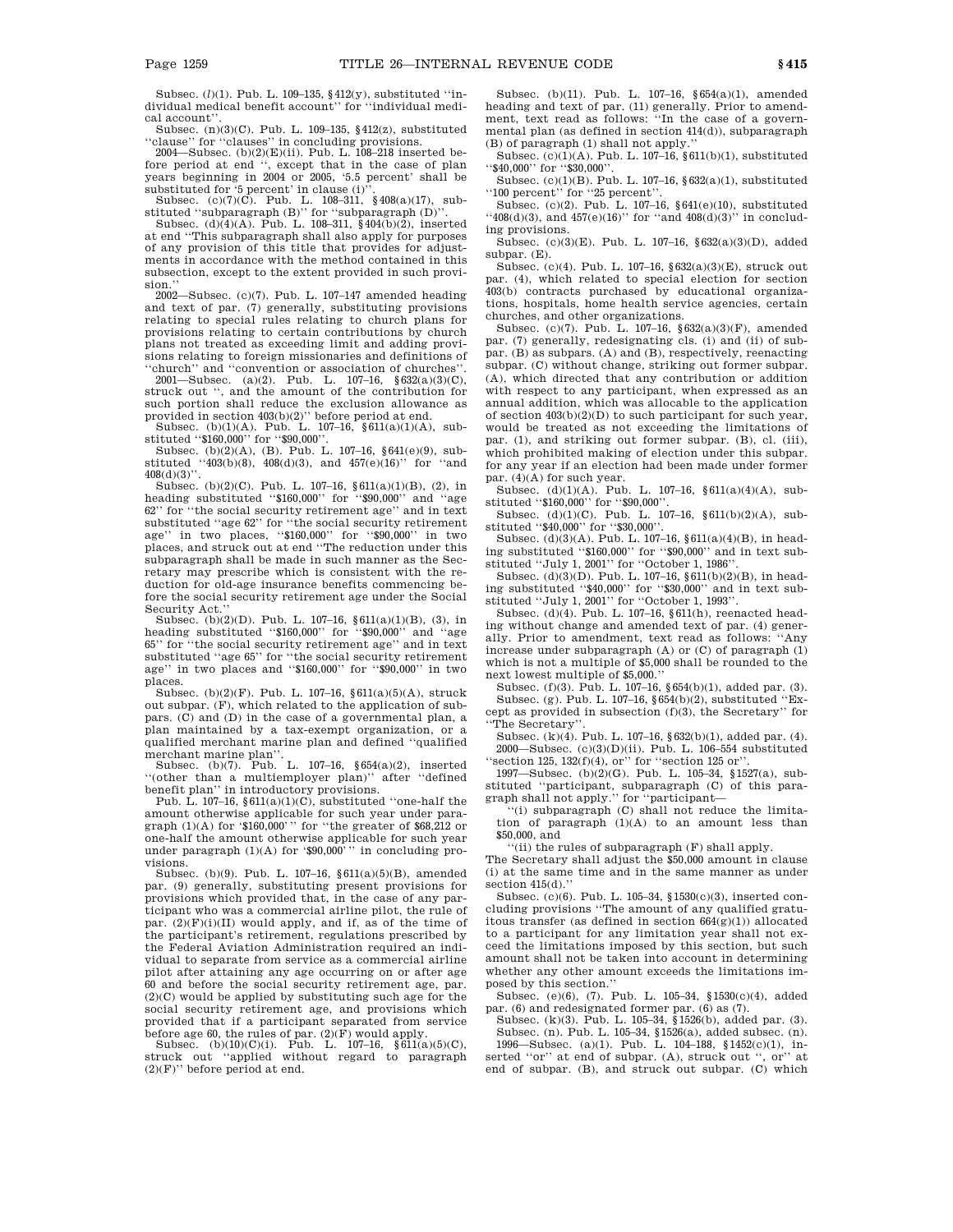Subsec. (*l*)(1). Pub. L. 109–135, §412(y), substituted ''in-dividual medical benefit account'' for ''individual medical account''.

Subsec. (n)(3)(C). Pub. L. 109–135, §412(z), substituted ''clause'' for ''clauses'' in concluding provisions. 2004—Subsec. (b)(2)(E)(ii). Pub. L. 108–218 inserted be-

fore period at end '', except that in the case of plan years beginning in 2004 or 2005, '5.5 percent' shall be

substituted for '5 percent' in clause (i)".<br>Subsec. (c)(7)(C). Pub. L. 108–311, §408(a)(17), substituted ''subparagraph (B)'' for ''subparagraph (D)''. Subsec. (d)(4)(A). Pub. L. 108–311, §404(b)(2), inserted

at end ''This subparagraph shall also apply for purposes of any provision of this title that provides for adjustments in accordance with the method contained in this subsection, except to the extent provided in such provision.

2002—Subsec. (c)(7). Pub. L. 107–147 amended heading and text of par. (7) generally, substituting provisions relating to special rules relating to church plans for provisions relating to certain contributions by church plans not treated as exceeding limit and adding provisions relating to foreign missionaries and definitions of ''church'' and ''convention or association of churches''.

2001—Subsec. (a)(2). Pub. L. 107–16, §632(a)(3)(C), struck out '', and the amount of the contribution for such portion shall reduce the exclusion allowance as provided in section 403(b)(2)'' before period at end.

Subsec. (b)(1)(A). Pub. L. 107–16, §611(a)(1)(A), substituted ''\$160,000'' for ''\$90,000''.

Subsec. (b)(2)(A), (B). Pub. L. 107–16, §641(e)(9), substituted ''403(b)(8), 408(d)(3), and 457(e)(16)'' for ''and  $408(d)(3)$ ".

Subsec. (b)(2)(C). Pub. L. 107–16, §611(a)(1)(B), (2), in heading substituted ''\$160,000'' for ''\$90,000'' and ''age 62'' for ''the social security retirement age'' and in text substituted ''age 62'' for ''the social security retirement age'' in two places, ''\$160,000'' for ''\$90,000'' in two places, and struck out at end ''The reduction under this subparagraph shall be made in such manner as the Secretary may prescribe which is consistent with the reduction for old-age insurance benefits commencing before the social security retirement age under the Social Security Act.

Subsec. (b)(2)(D). Pub. L. 107–16, §611(a)(1)(B), (3), in heading substituted ''\$160,000'' for ''\$90,000'' and ''age 65'' for ''the social security retirement age'' and in text substituted ''age 65'' for ''the social security retirement age'' in two places and "\$160,000" for "\$90,000" in two places.

Subsec. (b)(2)(F). Pub. L. 107–16, §611(a)(5)(A), struck out subpar. (F), which related to the application of subpars. (C) and (D) in the case of a governmental plan, a plan maintained by a tax-exempt organization, or a qualified merchant marine plan and defined ''qualified

merchant marine plan''. Subsec. (b)(7). Pub. L. 107–16, §654(a)(2), inserted ''(other than a multiemployer plan)'' after ''defined

benefit plan'' in introductory provisions. Pub. L. 107–16, §611(a)(1)(C), substituted ''one-half the amount otherwise applicable for such year under paragraph  $(1)(A)$  for '\$160,000'" for "the greater of \$68,212 or one-half the amount otherwise applicable for such year under paragraph (1)(A) for '\$90,000''' in concluding provisions.

Subsec. (b)(9). Pub. L. 107–16, §611(a)(5)(B), amended par. (9) generally, substituting present provisions for provisions which provided that, in the case of any participant who was a commercial airline pilot, the rule of par.  $(2)(F)(i)(II)$  would apply, and if, as of the time of the participant's retirement, regulations prescribed by the Federal Aviation Administration required an individual to separate from service as a commercial airline pilot after attaining any age occurring on or after age 60 and before the social security retirement age, par. (2)(C) would be applied by substituting such age for the social security retirement age, and provisions which provided that if a participant separated from service before age 60, the rules of par. (2)(F) would apply.

Subsec. (b)(10)(C)(i). Pub. L. 107–16, §611(a)(5)(C), struck out ''applied without regard to paragraph  $(2)(F)$ " before period at end.

Subsec. (b)(11). Pub. L. 107–16, §654(a)(1), amended heading and text of par. (11) generally. Prior to amendment, text read as follows: ''In the case of a governmental plan (as defined in section 414(d)), subparagraph (B) of paragraph (1) shall not apply.''

Subsec.  $(c)(1)(A)$ . Pub. L. 107-16, §611(b)(1), substituted ''\$40,000'' for ''\$30,000''.

Subsec. (c)(1)(B). Pub. L. 107–16, §632(a)(1), substituted ''100 percent'' for ''25 percent''.

Subsec. (c)(2). Pub. L. 107–16, §641(e)(10), substituted  $``408(d)(3)$ , and  $457(e)(16)"$  for  $``and 408(d)(3)"$  in concluding provisions.

Subsec. (c)(3)(E). Pub. L. 107–16, §632(a)(3)(D), added subpar. (E).

Subsec. (c)(4). Pub. L. 107–16, §632(a)(3)(E), struck out par. (4), which related to special election for section 403(b) contracts purchased by educational organizations, hospitals, home health service agencies, certain churches, and other organizations.

Subsec. (c)(7). Pub. L. 107–16, §632(a)(3)(F), amended par. (7) generally, redesignating cls. (i) and (ii) of subpar. (B) as subpars. (A) and (B), respectively, reenacting subpar. (C) without change, striking out former subpar. (A), which directed that any contribution or addition with respect to any participant, when expressed as an annual addition, which was allocable to the application of section  $403(b)(2)(D)$  to such participant for such year, would be treated as not exceeding the limitations of par. (1), and striking out former subpar. (B), cl. (iii), which prohibited making of election under this subpar. for any year if an election had been made under former par. (4)(A) for such year.

Subsec. (d)(1)(A). Pub. L. 107–16, §611(a)(4)(A), substituted ''\$160,000'' for ''\$90,000''.

Subsec.  $(d)(1)(C)$ . Pub. L. 107–16, §611(b)(2)(A), substituted ''\$40,000'' for ''\$30,000''.

Subsec. (d)(3)(A). Pub. L. 107–16, §611(a)(4)(B), in heading substituted ''\$160,000'' for ''\$90,000'' and in text substituted "July 1, 2001" for "October 1, 1986".

Subsec. (d)(3)(D). Pub. L. 107–16, §611(b)(2)(B), in heading substituted ''\$40,000'' for ''\$30,000'' and in text substituted ''July 1, 2001'' for ''October 1, 1993''.

Subsec. (d)(4). Pub. L. 107–16, §611(h), reenacted heading without change and amended text of par. (4) generally. Prior to amendment, text read as follows: ''Any increase under subparagraph (A) or (C) of paragraph (1) which is not a multiple of \$5,000 shall be rounded to the next lowest multiple of \$5,000.''

Subsec. (f)(3). Pub. L. 107–16, §654(b)(1), added par. (3). Subsec. (g). Pub. L. 107–16, §654(b)(2), substituted ''Except as provided in subsection (f)(3), the Secretary'' for  $% \mathcal{N}$ ''The Secretary''.

Subsec. (k)(4). Pub. L. 107–16, §632(b)(1), added par. (4). 2000—Subsec.  $(c)(3)(D)(ii)$ . Pub. L. 106–554 substituted 'section 125,  $132(f)(4)$ , or'' for "section 125 or".

1997—Subsec. (b)(2)(G). Pub. L. 105–34, §1527(a), substituted ''participant, subparagraph (C) of this para-

graph shall not apply.'' for ''participant— ''(i) subparagraph (C) shall not reduce the limitation of paragraph  $(1)(A)$  to an amount less than \$50,000, and

''(ii) the rules of subparagraph (F) shall apply.

The Secretary shall adjust the \$50,000 amount in clause (i) at the same time and in the same manner as under section  $415(d)$ .

Subsec. (c)(6). Pub. L. 105–34, §1530(c)(3), inserted concluding provisions ''The amount of any qualified gratuitous transfer (as defined in section  $664(g)(1)$ ) allocated to a participant for any limitation year shall not exceed the limitations imposed by this section, but such amount shall not be taken into account in determining whether any other amount exceeds the limitations imposed by this section.''

Subsec. (e)(6), (7). Pub. L. 105–34, §1530(c)(4), added par. (6) and redesignated former par. (6) as (7).

Subsec. (k)(3). Pub. L. 105–34, §1526(b), added par. (3). Subsec. (n). Pub. L. 105–34, §1526(a), added subsec. (n).

1996—Subsec. (a)(1). Pub. L. 104–188, §1452(c)(1), inserted ''or'' at end of subpar. (A), struck out '', or'' at end of subpar. (B), and struck out subpar. (C) which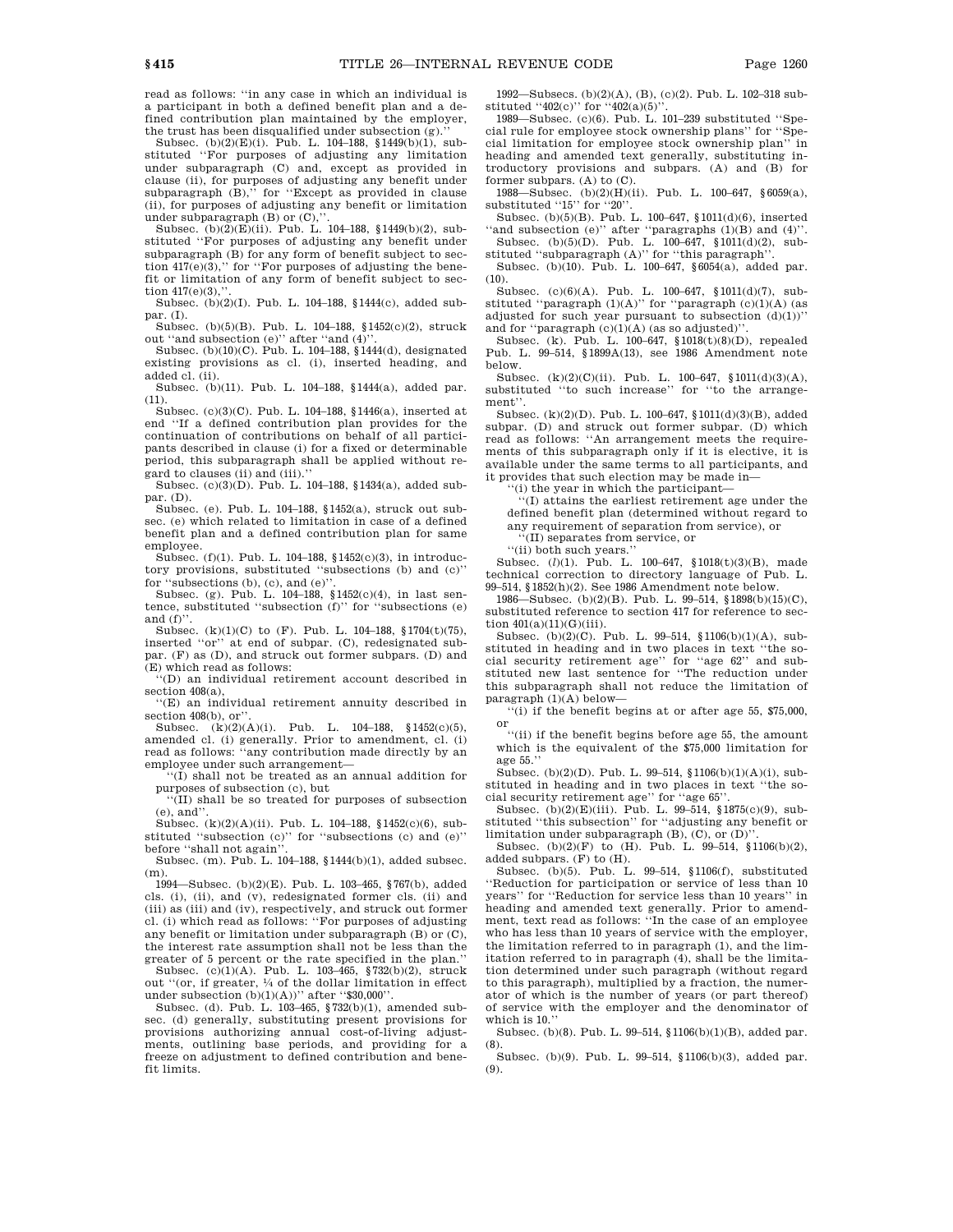read as follows: ''in any case in which an individual is a participant in both a defined benefit plan and a defined contribution plan maintained by the employer, the trust has been disqualified under subsection (g).''

Subsec. (b)(2)(E)(i). Pub. L. 104–188, §1449(b)(1), substituted ''For purposes of adjusting any limitation under subparagraph (C) and, except as provided in clause (ii), for purposes of adjusting any benefit under subparagraph  $(B)$ ," for "Except as provided in clause (ii), for purposes of adjusting any benefit or limitation under subparagraph  $(B)$  or  $(C)$ ,"

Subsec. (b)(2)(E)(ii). Pub. L. 104–188, §1449(b)(2), substituted ''For purposes of adjusting any benefit under subparagraph (B) for any form of benefit subject to section  $417(e)(3)$ ," for "For purposes of adjusting the benefit or limitation of any form of benefit subject to section  $417(e)(3)$ ,

Subsec. (b)(2)(I). Pub. L. 104–188, §1444(c), added subpar. (I).

Subsec. (b)(5)(B). Pub. L. 104–188, §1452(c)(2), struck out "and subsection (e)" after "and (4)".

Subsec. (b)(10)(C). Pub. L. 104–188, §1444(d), designated existing provisions as cl. (i), inserted heading, and added cl. (ii).

Subsec. (b)(11). Pub. L. 104–188, §1444(a), added par. (11).

Subsec. (c)(3)(C). Pub. L. 104–188, §1446(a), inserted at end ''If a defined contribution plan provides for the continuation of contributions on behalf of all participants described in clause (i) for a fixed or determinable period, this subparagraph shall be applied without regard to clauses (ii) and (iii).''

Subsec. (c)(3)(D). Pub. L. 104–188, §1434(a), added subpar. (D).

Subsec. (e). Pub. L. 104–188, §1452(a), struck out subsec. (e) which related to limitation in case of a defined benefit plan and a defined contribution plan for same employee.

Subsec. (f)(1). Pub. L. 104–188, §1452(c)(3), in introductory provisions, substituted ''subsections (b) and (c)'' for "subsections (b), (c), and (e)"

Subsec. (g). Pub. L. 104–188, §1452(c)(4), in last sentence, substituted ''subsection (f)'' for ''subsections (e) and  $(f)$ ".

Subsec.  $(k)(1)(C)$  to  $(F)$ . Pub. L. 104–188, §1704 $(t)(75)$ , inserted ''or'' at end of subpar. (C), redesignated subpar. (F) as (D), and struck out former subpars. (D) and (E) which read as follows:

''(D) an individual retirement account described in section  $408(a)$ .

''(E) an individual retirement annuity described in section 408(b), or".

Subsec. (k)(2)(A)(i). Pub. L. 104–188, §1452(c)(5), amended cl. (i) generally. Prior to amendment, cl. (i) read as follows: ''any contribution made directly by an employee under such arrangement—

''(I) shall not be treated as an annual addition for purposes of subsection (c), but

''(II) shall be so treated for purposes of subsection (e), and''.

Subsec. (k)(2)(A)(ii). Pub. L. 104–188, §1452(c)(6), substituted ''subsection (c)'' for ''subsections (c) and (e)'' before ''shall not again''.

Subsec. (m). Pub. L. 104–188, §1444(b)(1), added subsec. (m).

1994—Subsec. (b)(2)(E). Pub. L. 103–465, §767(b), added cls. (i), (ii), and (v), redesignated former cls. (ii) and (iii) as (iii) and (iv), respectively, and struck out former cl. (i) which read as follows: ''For purposes of adjusting any benefit or limitation under subparagraph (B) or (C), the interest rate assumption shall not be less than the greater of 5 percent or the rate specified in the plan.''

Subsec. (c)(1)(A). Pub. L. 103–465, §732(b)(2), struck out "(or, if greater,  $\frac{1}{4}$  of the dollar limitation in effect

under subsection (b)(1)(A))'' after ''\$30,000''. Subsec. (d). Pub. L. 103–465, §732(b)(1), amended subsec. (d) generally, substituting present provisions for provisions authorizing annual cost-of-living adjustments, outlining base periods, and providing for a freeze on adjustment to defined contribution and benefit limits.

1992—Subsecs. (b)(2)(A), (B), (c)(2). Pub. L. 102–318 substituted " $402(c)$ " for " $402(a)(5)$ "

1989—Subsec. (c)(6). Pub. L. 101–239 substituted ''Special rule for employee stock ownership plans'' for ''Special limitation for employee stock ownership plan'' in heading and amended text generally, substituting introductory provisions and subpars. (A) and (B) for former subpars. (A) to (C).

1988—Subsec. (b)(2)(H)(ii). Pub. L. 100–647, §6059(a), substituted ''15'' for ''20''.

Subsec. (b)(5)(B). Pub. L. 100–647, §1011(d)(6), inserted "and subsection (e)" after "paragraphs  $(1)(B)$  and  $(4)$ " Subsec. (b)(5)(D). Pub. L. 100–647, §1011(d)(2), sub-

stituted ''subparagraph (A)'' for ''this paragraph''. Subsec. (b)(10). Pub. L. 100–647, §6054(a), added par.

 $(10)$ . Subsec. (c)(6)(A). Pub. L. 100–647, §1011(d)(7), substituted "paragraph  $(1)(A)$ " for "paragraph  $(c)(1)(A)$  (as

adjusted for such year pursuant to subsection  $(d)(1))$ " and for "paragraph  $(c)(1)(A)$  (as so adjusted)"

Subsec. (k). Pub. L. 100–647, §1018(t)(8)(D), repealed Pub. L. 99–514, §1899A(13), see 1986 Amendment note below.

Subsec.  $(k)(2)(C)(ii)$ . Pub. L. 100–647, §1011(d)(3)(A), substituted ''to such increase'' for ''to the arrangement''.

Subsec. (k)(2)(D). Pub. L. 100–647, §1011(d)(3)(B), added subpar. (D) and struck out former subpar. (D) which read as follows: ''An arrangement meets the requirements of this subparagraph only if it is elective, it is available under the same terms to all participants, and it provides that such election may be made in—

(i) the year in which the participant—

''(I) attains the earliest retirement age under the defined benefit plan (determined without regard to any requirement of separation from service), or

''(II) separates from service, or

''(ii) both such years.''

Subsec. (*l*)(1). Pub. L. 100–647, §1018(t)(3)(B), made technical correction to directory language of Pub. L. 99–514, §1852(h)(2). See 1986 Amendment note below.

1986—Subsec. (b)(2)(B). Pub. L. 99–514, §1898(b)(15)(C), substituted reference to section 417 for reference to section  $401(a)(11)(G)(iii)$ .

Subsec. (b)(2)(C). Pub. L. 99–514, §1106(b)(1)(A), substituted in heading and in two places in text ''the social security retirement age'' for ''age 62'' and substituted new last sentence for ''The reduction under this subparagraph shall not reduce the limitation of paragraph (1)(A) below—

''(i) if the benefit begins at or after age 55, \$75,000, or

''(ii) if the benefit begins before age 55, the amount which is the equivalent of the \$75,000 limitation for age 55.''

Subsec. (b)(2)(D). Pub. L. 99–514, §1106(b)(1)(A)(i), substituted in heading and in two places in text ''the social security retirement age" for "age 65"

Subsec. (b)(2)(E)(iii). Pub. L. 99–514, §1875(c)(9), substituted ''this subsection'' for ''adjusting any benefit or limitation under subparagraph  $(B)$ ,  $(C)$ ,  $\sigma r$   $(D)'$ .

Subsec. (b)(2)(F) to  $(H)$ . Pub. L. 99-514, §1106(b)(2), added subpars. (F) to (H).

Subsec. (b)(5). Pub. L. 99–514, §1106(f), substituted ''Reduction for participation or service of less than 10 years'' for ''Reduction for service less than 10 years'' in heading and amended text generally. Prior to amendment, text read as follows: ''In the case of an employee who has less than 10 years of service with the employer, the limitation referred to in paragraph (1), and the limitation referred to in paragraph (4), shall be the limitation determined under such paragraph (without regard to this paragraph), multiplied by a fraction, the numerator of which is the number of years (or part thereof) of service with the employer and the denominator of which is 10.''

Subsec. (b)(8). Pub. L. 99–514, §1106(b)(1)(B), added par. (8).

Subsec. (b)(9). Pub. L. 99–514, §1106(b)(3), added par. (9).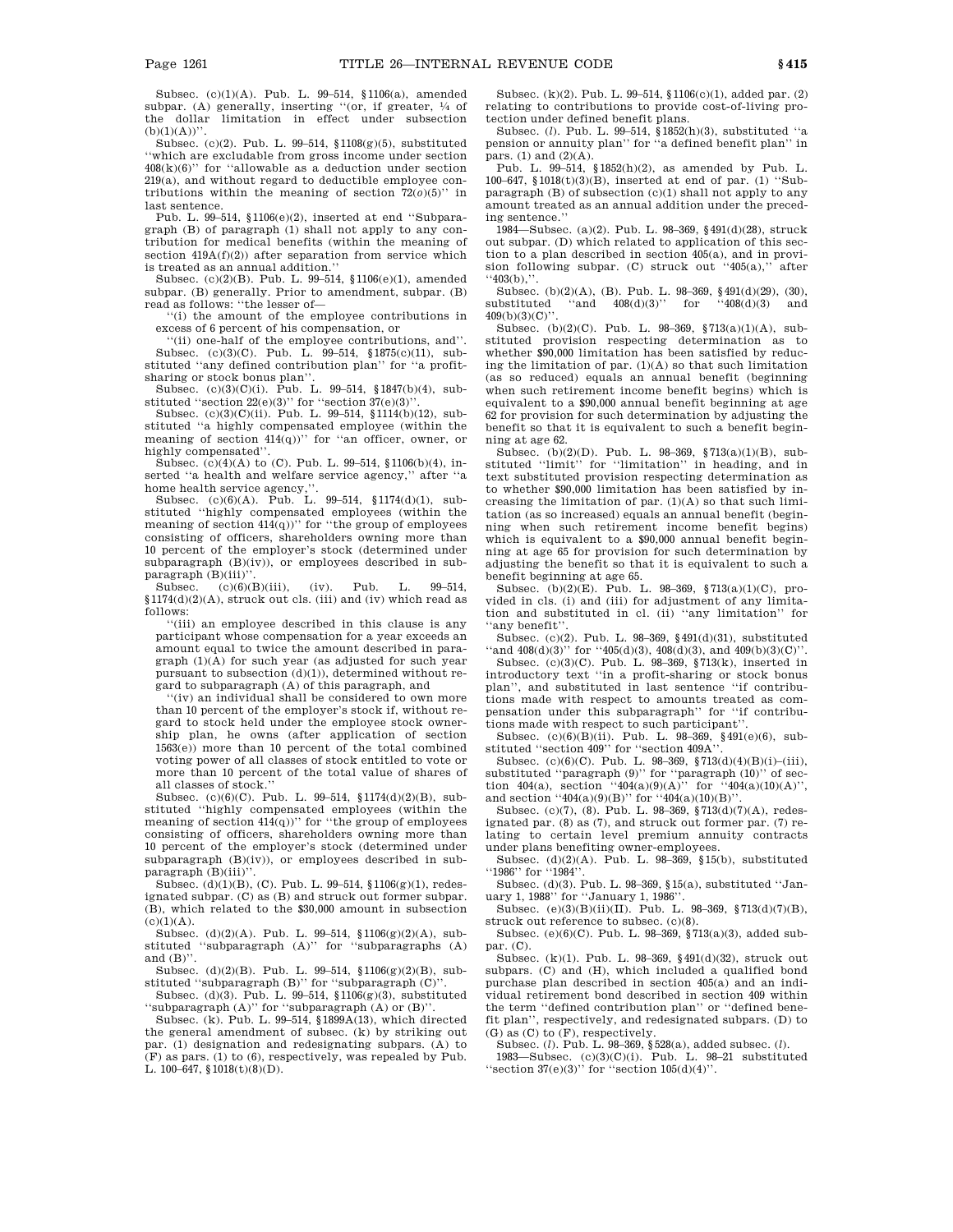Subsec. (c)(1)(A). Pub. L. 99–514, §1106(a), amended subpar. (A) generally, inserting "(or, if greater,  $\frac{1}{4}$  of the dollar limitation in effect under subsection  $(b)(1)(A))$ "

Subsec. (c)(2). Pub. L. 99–514, §1108(g)(5), substituted ''which are excludable from gross income under section  $408(k)(6)$ " for "allowable as a deduction under section 219(a), and without regard to deductible employee contributions within the meaning of section  $72(0)(5)$ " in last sentence.

Pub. L. 99–514, §1106(e)(2), inserted at end ''Subparagraph (B) of paragraph (1) shall not apply to any contribution for medical benefits (within the meaning of section  $419A(f)(2)$  after separation from service which is treated as an annual addition.''

Subsec. (c)(2)(B). Pub. L. 99–514, §1106(e)(1), amended subpar. (B) generally. Prior to amendment, subpar. (B) read as follows: ''the lesser of—

''(i) the amount of the employee contributions in excess of 6 percent of his compensation, or

''(ii) one-half of the employee contributions, and''. Subsec. (c)(3)(C). Pub. L. 99–514, §1875(c)(11), substituted ''any defined contribution plan'' for ''a profitsharing or stock bonus plan''.

Subsec. (c)(3)(C)(i). Pub. L. 99–514, §1847(b)(4), substituted "section  $22(e)(3)$ " for "section  $37(e)(3)$ "

Subsec. (c)(3)(C)(ii). Pub. L. 99–514, §1114(b)(12), substituted ''a highly compensated employee (within the meaning of section  $414(q)$ )" for "an officer, owner, or highly compensated''.

Subsec. (c)(4)(A) to (C). Pub. L. 99–514, §1106(b)(4), inserted ''a health and welfare service agency,'' after ''a home health service agency,"

Subsec. (c)(6)(A). Pub. L. 99–514, §1174(d)(1), substituted ''highly compensated employees (within the meaning of section  $414(q)$ )" for "the group of employees consisting of officers, shareholders owning more than 10 percent of the employer's stock (determined under subparagraph (B)(iv)), or employees described in sub- $\text{parameter}(\text{B})$ (iii)''.<br>Subsec. (c)(6)(

 $(c)(6)(B)(iii)$ , (iv). Pub. L. 99–514, §1174(d)(2)(A), struck out cls. (iii) and (iv) which read as follows:

''(iii) an employee described in this clause is any participant whose compensation for a year exceeds an amount equal to twice the amount described in paragraph (1)(A) for such year (as adjusted for such year pursuant to subsection (d)(1)), determined without regard to subparagraph (A) of this paragraph, and

''(iv) an individual shall be considered to own more than 10 percent of the employer's stock if, without regard to stock held under the employee stock ownership plan, he owns (after application of section  $1563(e)$  more than 10 percent of the total combined voting power of all classes of stock entitled to vote or more than 10 percent of the total value of shares of all classes of stock.''

Subsec. (c)(6)(C). Pub. L. 99–514, §1174(d)(2)(B), substituted ''highly compensated employees (within the meaning of section  $414(q)$ )" for "the group of employees consisting of officers, shareholders owning more than 10 percent of the employer's stock (determined under subparagraph (B)(iv)), or employees described in subparagraph (B)(iii)'

Subsec. (d)(1)(B), (C). Pub. L. 99–514, §1106(g)(1), redesignated subpar. (C) as (B) and struck out former subpar. (B), which related to the \$30,000 amount in subsection  $(c)(1)(A)$ .

Subsec. (d)(2)(A). Pub. L. 99–514, §1106(g)(2)(A), substituted ''subparagraph (A)'' for ''subparagraphs (A) and  $(B)$ ".

Subsec. (d)(2)(B). Pub. L. 99–514, §1106(g)(2)(B), substituted "subparagraph  $(B)$ " for "subparagraph  $(C)$ ".

Subsec. (d)(3). Pub. L. 99–514, §1106(g)(3), substituted ''subparagraph (A)'' for ''subparagraph (A) or (B)''.

Subsec. (k). Pub. L. 99–514,  $\S 1899A(13)$ , which directed the general amendment of subsec. (k) by striking out par. (1) designation and redesignating subpars. (A) to (F) as pars. (1) to (6), respectively, was repealed by Pub. L.  $100-647$ ,  $1018(t)(8)(D)$ .

Subsec. (k)(2). Pub. L. 99–514, §1106(c)(1), added par. (2) relating to contributions to provide cost-of-living protection under defined benefit plans.

Subsec. (*l*). Pub. L. 99–514, §1852(h)(3), substituted ''a pension or annuity plan'' for ''a defined benefit plan'' in pars. (1) and (2)(A).

Pub. L. 99–514, §1852(h)(2), as amended by Pub. L. 100–647, §1018(t)(3)(B), inserted at end of par. (1) ''Subparagraph (B) of subsection (c)(1) shall not apply to any amount treated as an annual addition under the preceding sentence.''

1984—Subsec. (a)(2). Pub. L. 98–369, §491(d)(28), struck out subpar. (D) which related to application of this section to a plan described in section 405(a), and in provision following subpar. (C) struck out ''405(a),'' after  $``403(b),"$ .

Subsec. (b)(2)(A), (B). Pub. L. 98–369, §491(d)(29), (30), substituted "and  $408(d)(3)$ " for " $408(d)(3)$  and 409(b)(3)(C)''.

Subsec. (b)(2)(C). Pub. L. 98–369, §713(a)(1)(A), substituted provision respecting determination as to whether \$90,000 limitation has been satisfied by reducing the limitation of par. (1)(A) so that such limitation (as so reduced) equals an annual benefit (beginning when such retirement income benefit begins) which is equivalent to a \$90,000 annual benefit beginning at age 62 for provision for such determination by adjusting the benefit so that it is equivalent to such a benefit beginning at age 62.

Subsec. (b)(2)(D). Pub. L. 98–369, §713(a)(1)(B), substituted "limit" for "limitation" in heading, and in text substituted provision respecting determination as to whether \$90,000 limitation has been satisfied by increasing the limitation of par.  $(1)(A)$  so that such limitation (as so increased) equals an annual benefit (beginning when such retirement income benefit begins) which is equivalent to a \$90,000 annual benefit beginning at age 65 for provision for such determination by adjusting the benefit so that it is equivalent to such a benefit beginning at age 65.

Subsec. (b)(2)(E). Pub. L. 98–369, §713(a)(1)(C), provided in cls. (i) and (iii) for adjustment of any limitation and substituted in cl. (ii) ''any limitation'' for ''any benefit''.

Subsec. (c)(2). Pub. L. 98–369, §491(d)(31), substituted ''and 408(d)(3)'' for ''405(d)(3), 408(d)(3), and 409(b)(3)(C)''. Subsec. (c)(3)(C). Pub. L. 98–369, §713(k), inserted in

introductory text ''in a profit-sharing or stock bonus plan'', and substituted in last sentence ''if contributions made with respect to amounts treated as compensation under this subparagraph'' for ''if contributions made with respect to such participant''.

Subsec. (c)(6)(B)(ii). Pub. L. 98–369, §491(e)(6), sub-

stituted ''section 409'' for ''section 409A''. Subsec. (c)(6)(C). Pub. L. 98–369, §713(d)(4)(B)(i)–(iii), substituted ''paragraph (9)'' for ''paragraph (10)'' of section 404(a), section "404(a)(9)(A)" for "404(a)(10)(A)",

and section ''404(a)(9)(B)'' for ''404(a)(10)(B)''.<br>Subsec. (c)(7), (8). Pub. L. 98–369, §713(d)(7)(A), redesignated par. (8) as (7), and struck out former par. (7) relating to certain level premium annuity contracts under plans benefiting owner-employees.

Subsec.  $(d)(2)(A)$ . Pub. L. 98–369, §15(b), substituted ''1986'' for ''1984''.

Subsec. (d)(3). Pub. L. 98–369, §15(a), substituted ''Jan-

uary 1, 1988'' for ''January 1, 1986''. Subsec. (e)(3)(B)(ii)(II). Pub. L. 98–369, §713(d)(7)(B), struck out reference to subsec. (c)(8).

Subsec. (e)(6)(C). Pub. L. 98–369, §713(a)(3), added subpar. (C).

Subsec. (k)(1). Pub. L. 98–369, §491(d)(32), struck out subpars. (C) and (H), which included a qualified bond purchase plan described in section 405(a) and an individual retirement bond described in section 409 within the term ''defined contribution plan'' or ''defined benefit plan'', respectively, and redesignated subpars. (D) to

(G) as (C) to (F), respectively. Subsec. (*l*). Pub. L. 98–369, §528(a), added subsec. (*l*). 1983—Subsec. (c)(3)(C)(i). Pub. L. 98–21 substituted "section 37(e)(3)" for "section  $105(d)(4)$ ".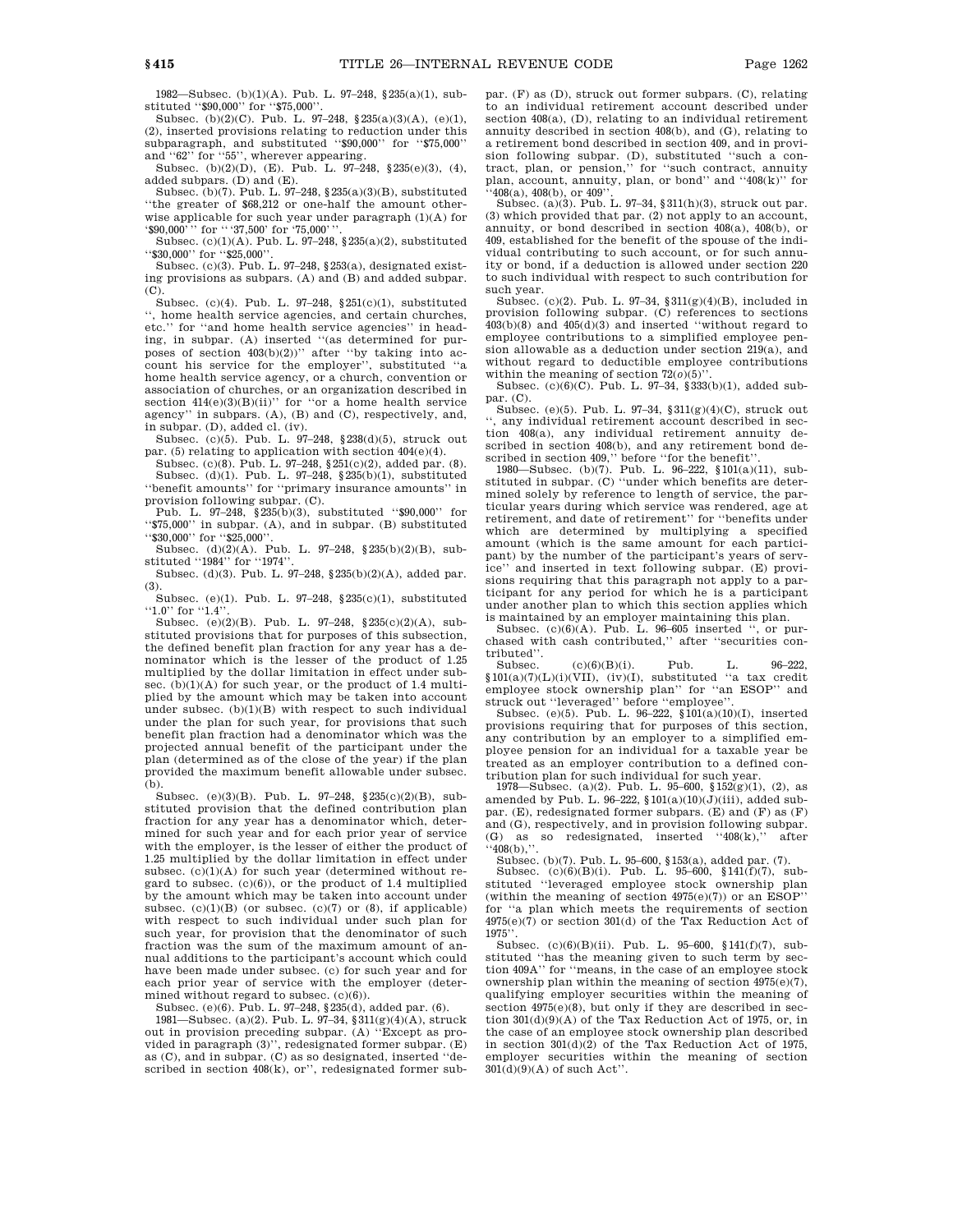1982—Subsec. (b)(1)(A). Pub. L. 97–248, §235(a)(1), substituted ''\$90,000'' for ''\$75,000''.

Subsec. (b)(2)(C). Pub. L. 97–248, §235(a)(3)(A), (e)(1), (2), inserted provisions relating to reduction under this subparagraph, and substituted ''\$90,000'' for ''\$75,000'' and ''62'' for ''55'', wherever appearing.

Subsec. (b)(2)(D), (E). Pub. L. 97–248, §235(e)(3), (4), added subpars. (D) and (E).

Subsec. (b)(7). Pub. L. 97–248, §235(a)(3)(B), substituted ''the greater of \$68,212 or one-half the amount otherwise applicable for such year under paragraph (1)(A) for '\$90,000''' for "'37,500' for '75,000''

Subsec. (c)(1)(A). Pub. L. 97–248, §235(a)(2), substituted ''\$30,000'' for ''\$25,000''.

Subsec. (c)(3). Pub. L. 97-248,  $§253(a)$ , designated existing provisions as subpars. (A) and (B) and added subpar. (C).

Subsec. (c)(4). Pub. L. 97–248, §251(c)(1), substituted '', home health service agencies, and certain churches, etc.'' for ''and home health service agencies'' in heading, in subpar. (A) inserted "(as determined for purposes of section  $403(b)(2)$ " after "by taking into account his service for the employer'', substituted ''a home health service agency, or a church, convention or association of churches, or an organization described in section  $414(e)(3)(B)(ii)$ " for "or a home health service agency'' in subpars. (A), (B) and (C), respectively, and, in subpar. (D), added cl. (iv).

Subsec. (c)(5). Pub. L. 97–248, §238(d)(5), struck out par. (5) relating to application with section 404(e)(4).

Subsec. (c)(8). Pub. L. 97–248, §251(c)(2), added par. (8). Subsec. (d)(1). Pub. L. 97–248, §235(b)(1), substituted ''benefit amounts'' for ''primary insurance amounts'' in provision following subpar. (C).

Pub. L. 97–248, §235(b)(3), substituted ''\$90,000'' for ''\$75,000'' in subpar. (A), and in subpar. (B) substituted ''\$30,000'' for ''\$25,000''.

Subsec. (d)(2)(A). Pub. L. 97–248, §235(b)(2)(B), substituted ''1984'' for ''1974''.

Subsec. (d)(3). Pub. L. 97–248, §235(b)(2)(A), added par. (3).

Subsec. (e)(1). Pub. L. 97–248, §235(c)(1), substituted "1.0" for "1.4"

Subsec. (e)(2)(B). Pub. L. 97–248, §235(c)(2)(A), substituted provisions that for purposes of this subsection, the defined benefit plan fraction for any year has a denominator which is the lesser of the product of 1.25 multiplied by the dollar limitation in effect under subsec. (b)(1)(A) for such year, or the product of 1.4 multiplied by the amount which may be taken into account under subsec.  $(b)(1)(B)$  with respect to such individual under the plan for such year, for provisions that such benefit plan fraction had a denominator which was the projected annual benefit of the participant under the plan (determined as of the close of the year) if the plan provided the maximum benefit allowable under subsec. (b).

Subsec. (e)(3)(B). Pub. L. 97–248, §235(c)(2)(B), substituted provision that the defined contribution plan fraction for any year has a denominator which, determined for such year and for each prior year of service with the employer, is the lesser of either the product of 1.25 multiplied by the dollar limitation in effect under subsec.  $(c)(1)(A)$  for such year (determined without regard to subsec. (c)(6)), or the product of 1.4 multiplied by the amount which may be taken into account under subsec.  $(c)(1)(B)$  (or subsec.  $(c)(7)$  or  $(8)$ , if applicable) with respect to such individual under such plan for such year, for provision that the denominator of such fraction was the sum of the maximum amount of annual additions to the participant's account which could have been made under subsec. (c) for such year and for each prior year of service with the employer (determined without regard to subsec. (c)(6)).

Subsec. (e)(6). Pub. L. 97–248, §235(d), added par. (6).

1981—Subsec. (a)(2). Pub. L. 97–34,  $\frac{1}{3}$ (g)(4)(A), struck out in provision preceding subpar. (A) ''Except as provided in paragraph (3)'', redesignated former subpar. (E) as (C), and in subpar. (C) as so designated, inserted ''described in section 408(k), or'', redesignated former subpar. (F) as (D), struck out former subpars. (C), relating to an individual retirement account described under section 408(a), (D), relating to an individual retirement annuity described in section 408(b), and (G), relating to a retirement bond described in section 409, and in provision following subpar. (D), substituted ''such a con-tract, plan, or pension,'' for ''such contract, annuity plan, account, annuity, plan, or bond'' and ''408(k)'' for  $(408(a), 408(b), or 409)$ 

Subsec. (a)(3). Pub. L. 97–34, §311(h)(3), struck out par. (3) which provided that par. (2) not apply to an account, annuity, or bond described in section 408(a), 408(b), or 409, established for the benefit of the spouse of the individual contributing to such account, or for such annuity or bond, if a deduction is allowed under section 220 to such individual with respect to such contribution for such year.

Subsec. (c)(2). Pub. L. 97–34,  $$311(g)(4)(B)$ , included in provision following subpar. (C) references to sections 403(b)(8) and 405(d)(3) and inserted ''without regard to employee contributions to a simplified employee pension allowable as a deduction under section 219(a), and without regard to deductible employee contributions within the meaning of section  $72(0)(5)$ 

Subsec. (c)(6)(C). Pub. L. 97–34, §333(b)(1), added subpar. (C).

Subsec. (e)(5). Pub. L. 97–34, §311(g)(4)(C), struck out '', any individual retirement account described in section 408(a), any individual retirement annuity de-

scribed in section 408(b), and any retirement bond de-<br>scribed in section 409,'' before ''for the benefit''.<br>1980—Subsec. (b)(7). Pub. L. 96–222, §101(a)(11), sub-<br>stituted in subpar. (C) ''under which benefits are determined solely by reference to length of service, the particular years during which service was rendered, age at retirement, and date of retirement'' for ''benefits under which are determined by multiplying a specified amount (which is the same amount for each participant) by the number of the participant's years of service'' and inserted in text following subpar. (E) provisions requiring that this paragraph not apply to a participant for any period for which he is a participant under another plan to which this section applies which is maintained by an employer maintaining this plan. Subsec. (c)(6)(A). Pub. L. 96–605 inserted '', or pur-

chased with cash contributed,'' after ''securities contributed''.

 $(c)(6)(B)(i)$ . Pub. L. 96–222,  $$101(a)(7)(L)(i)(VII), (iv)(I),$  substituted "a tax credit employee stock ownership plan'' for ''an ESOP'' and struck out ''leveraged'' before ''employee''.

Subsec. (e)(5). Pub. L. 96-222,  $\sqrt{101(a)(10)(1)}$ , inserted provisions requiring that for purposes of this section, any contribution by an employer to a simplified employee pension for an individual for a taxable year be treated as an employer contribution to a defined contribution plan for such individual for such year.

1978—Subsec. (a)(2). Pub. L. 95–600, §152(g)(1), (2), as amended by Pub. L. 96-222,  $$101(a)(10)(J)(iii)$ , added subpar. (E), redesignated former subpars. (E) and (F) as  $(F)$ and (G), respectively, and in provision following subpar. (G) as so redesignated, inserted ''408(k),'' after  $``408(b),$ ".

Subsec. (b)(7). Pub. L. 95–600, §153(a), added par. (7).<br>Subsec. (c)(6)(B)(i). Pub. L. 95–600, §141(f)(7), sub-

stituted ''leveraged employee stock ownership plan (within the meaning of section  $4975(e)(7)$ ) or an ESOP' for ''a plan which meets the requirements of section  $4975(e)(7)$  or section  $301(d)$  of the Tax Reduction Act of 1975''.

Subsec. (c)(6)(B)(ii). Pub. L. 95–600, §141(f)(7), substituted "has the meaning given to such term by section 409A'' for ''means, in the case of an employee stock ownership plan within the meaning of section  $4975(e)(7)$ . qualifying employer securities within the meaning of section  $4975(e)(8)$ , but only if they are described in section 301(d)(9)(A) of the Tax Reduction Act of 1975, or, in the case of an employee stock ownership plan described in section 301(d)(2) of the Tax Reduction Act of 1975, employer securities within the meaning of section 301(d)(9)(A) of such Act''.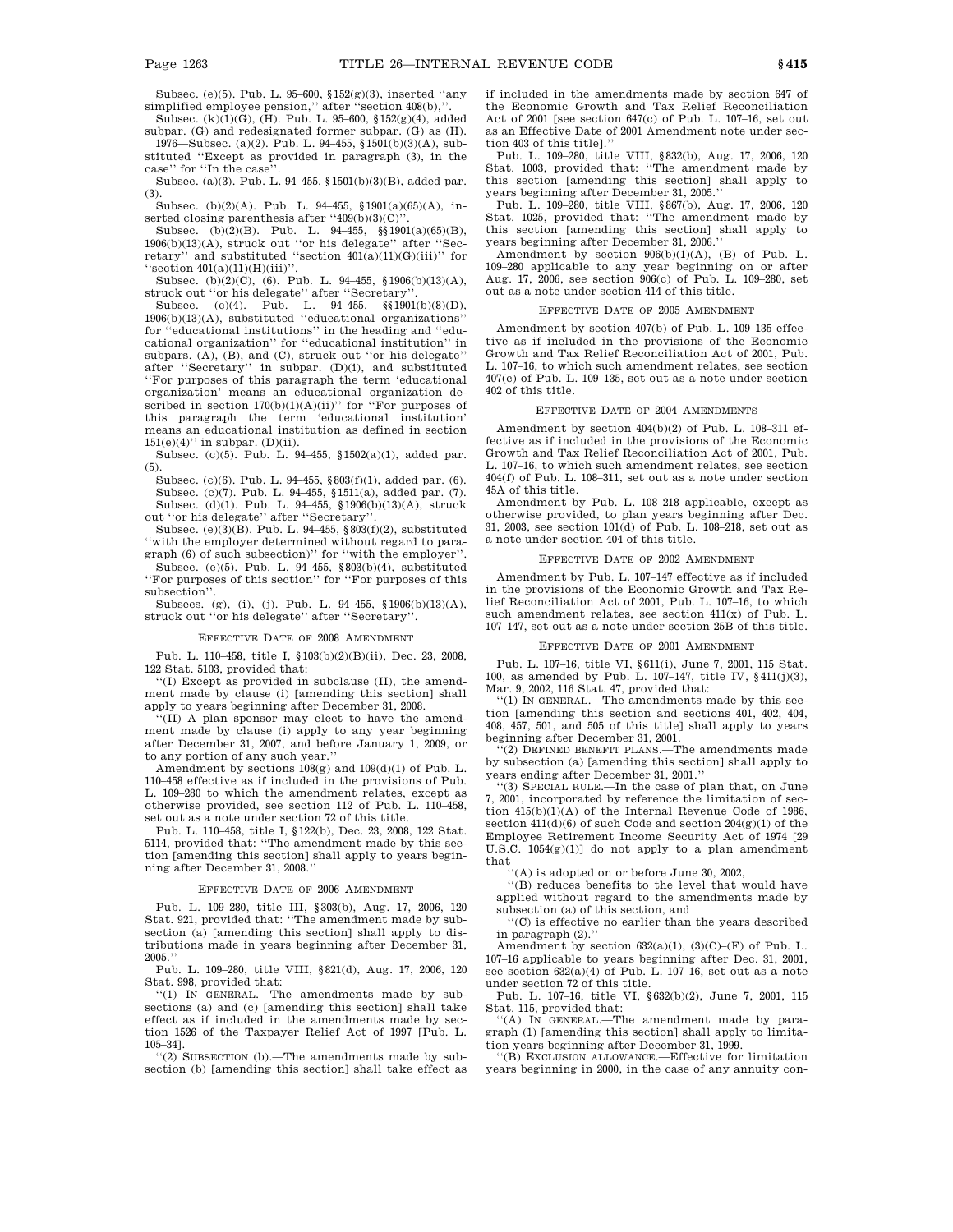Subsec. (e)(5). Pub. L. 95–600, §152(g)(3), inserted ''any simplified employee pension,'' after ''section 408(b),''.

Subsec. (k)(1)(G), (H). Pub. L. 95–600, §152(g)(4), added subpar. (G) and redesignated former subpar. (G) as (H). 1976—Subsec. (a)(2). Pub. L. 94–455, §1501(b)(3)(A), sub-

stituted ''Except as provided in paragraph (3), in the case'' for ''In the case''. Subsec. (a)(3). Pub. L. 94–455, §1501(b)(3)(B), added par.

(3).

Subsec. (b)(2)(A). Pub. L. 94–455, §1901(a)(65)(A), inserted closing parenthesis after ''409(b)(3)(C)''.

Subsec. (b)(2)(B). Pub. L. 94–455, §§1901(a)(65)(B), 1906(b)(13)(A), struck out ''or his delegate'' after ''Secretary'' and substituted "section  $401(a)(11)(G)(iii)$ " for ''section 401(a)(11)(H)(iii)''.

Subsec. (b)(2)(C), (6). Pub. L. 94–455, §1906(b)(13)(A), struck out ''or his delegate'' after ''Secretary''.

Subsec. (c)(4). Pub. L. 94–455, §§1901(b)(8)(D), 1906(b)(13)(A), substituted "educational organizations' for ''educational institutions'' in the heading and ''educational organization'' for ''educational institution'' in subpars. (A), (B), and (C), struck out ''or his delegate'' after ''Secretary'' in subpar. (D)(i), and substituted ''For purposes of this paragraph the term 'educational organization' means an educational organization described in section  $170(b)(1)(A)(ii)$ " for "For purposes of this paragraph the term 'educational institution' means an educational institution as defined in section  $151(e)(4)$ " in subpar. (D)(ii).

Subsec. (c)(5). Pub. L. 94–455, §1502(a)(1), added par. (5).

Subsec. (c)(6). Pub. L. 94–455, §803(f)(1), added par. (6). Subsec. (c)(7). Pub. L. 94–455, §1511(a), added par. (7). Subsec. (d)(1). Pub. L. 94–455, §1906(b)(13)(A), struck out ''or his delegate'' after ''Secretary''.

Subsec. (e)(3)(B). Pub. L. 94–455,  $\S 803(f)(2)$ , substituted ''with the employer determined without regard to paragraph (6) of such subsection)'' for ''with the employer''.

Subsec. (e)(5). Pub. L. 94–455, §803(b)(4), substituted ''For purposes of this section'' for ''For purposes of this subsection''.

Subsecs. (g), (i), (j). Pub. L. 94–455, §1906(b)(13)(A), struck out ''or his delegate'' after ''Secretary''.

#### EFFECTIVE DATE OF 2008 AMENDMENT

Pub. L. 110–458, title I, §103(b)(2)(B)(ii), Dec. 23, 2008, 122 Stat. 5103, provided that:

''(I) Except as provided in subclause (II), the amendment made by clause (i) [amending this section] shall apply to years beginning after December 31, 2008.

(II) A plan sponsor may elect to have the amendment made by clause (i) apply to any year beginning after December 31, 2007, and before January 1, 2009, or to any portion of any such year.''

Amendment by sections  $108(g)$  and  $109(d)(1)$  of Pub. L. 110–458 effective as if included in the provisions of Pub. L. 109–280 to which the amendment relates, except as otherwise provided, see section 112 of Pub. L. 110–458, set out as a note under section 72 of this title.

Pub. L. 110–458, title I, §122(b), Dec. 23, 2008, 122 Stat. 5114, provided that: ''The amendment made by this section [amending this section] shall apply to years beginning after December 31, 2008.

#### EFFECTIVE DATE OF 2006 AMENDMENT

Pub. L. 109–280, title III, §303(b), Aug. 17, 2006, 120 Stat. 921, provided that: ''The amendment made by subsection (a) [amending this section] shall apply to distributions made in years beginning after December 31,  $2005$ .

Pub. L. 109–280, title VIII, §821(d), Aug. 17, 2006, 120 Stat. 998, provided that:

''(1) IN GENERAL.—The amendments made by subsections (a) and (c) [amending this section] shall take effect as if included in the amendments made by section 1526 of the Taxpayer Relief Act of 1997 [Pub. L. 105–34].

''(2) SUBSECTION (b).—The amendments made by subsection (b) [amending this section] shall take effect as if included in the amendments made by section 647 of the Economic Growth and Tax Relief Reconciliation Act of 2001 [see section 647(c) of Pub. L. 107–16, set out as an Effective Date of 2001 Amendment note under section 403 of this title].''

Pub. L. 109–280, title VIII, §832(b), Aug. 17, 2006, 120 Stat. 1003, provided that: ''The amendment made by this section [amending this section] shall apply to years beginning after December 31, 2005.''

Pub. L. 109–280, title VIII, §867(b), Aug. 17, 2006, 120 Stat. 1025, provided that: ''The amendment made by this section [amending this section] shall apply to years beginning after December 31, 2006.''

Amendment by section  $906(b)(1)(A)$ , (B) of Pub. L. 109–280 applicable to any year beginning on or after Aug. 17, 2006, see section 906(c) of Pub. L. 109–280, set out as a note under section 414 of this title.

#### EFFECTIVE DATE OF 2005 AMENDMENT

Amendment by section 407(b) of Pub. L. 109–135 effective as if included in the provisions of the Economic Growth and Tax Relief Reconciliation Act of 2001, Pub. L. 107–16, to which such amendment relates, see section 407(c) of Pub. L. 109–135, set out as a note under section 402 of this title.

#### EFFECTIVE DATE OF 2004 AMENDMENTS

Amendment by section 404(b)(2) of Pub. L. 108–311 effective as if included in the provisions of the Economic Growth and Tax Relief Reconciliation Act of 2001, Pub. L. 107–16, to which such amendment relates, see section 404(f) of Pub. L. 108–311, set out as a note under section 45A of this title.

Amendment by Pub. L. 108–218 applicable, except as otherwise provided, to plan years beginning after Dec. 31, 2003, see section 101(d) of Pub. L. 108–218, set out as a note under section 404 of this title.

#### EFFECTIVE DATE OF 2002 AMENDMENT

Amendment by Pub. L. 107–147 effective as if included in the provisions of the Economic Growth and Tax Relief Reconciliation Act of 2001, Pub. L. 107–16, to which such amendment relates, see section 411(x) of Pub. L. 107–147, set out as a note under section 25B of this title.

#### EFFECTIVE DATE OF 2001 AMENDMENT

Pub. L. 107–16, title VI, §611(i), June 7, 2001, 115 Stat. 100, as amended by Pub. L. 107–147, title IV, §411(j)(3), Mar. 9, 2002, 116 Stat. 47, provided that:

''(1) IN GENERAL.—The amendments made by this section [amending this section and sections 401, 402, 404, 408, 457, 501, and 505 of this title] shall apply to years beginning after December 31, 2001.

''(2) DEFINED BENEFIT PLANS.—The amendments made by subsection (a) [amending this section] shall apply to years ending after December 31, 2001.''

''(3) SPECIAL RULE.—In the case of plan that, on June 7, 2001, incorporated by reference the limitation of section 415(b)(1)(A) of the Internal Revenue Code of 1986, section  $411(d)(6)$  of such Code and section  $204(g)(1)$  of the Employee Retirement Income Security Act of 1974 [29 U.S.C. 1054(g)(1)] do not apply to a plan amendment that—

''(A) is adopted on or before June 30, 2002,

''(B) reduces benefits to the level that would have applied without regard to the amendments made by subsection (a) of this section, and

''(C) is effective no earlier than the years described in paragraph (2).''

Amendment by section  $632(a)(1)$ ,  $(3)(C)-(F)$  of Pub. L. 107–16 applicable to years beginning after Dec. 31, 2001, see section 632(a)(4) of Pub. L. 107–16, set out as a note under section 72 of this title.

Pub. L. 107–16, title VI, §632(b)(2), June 7, 2001, 115 Stat. 115, provided that:

''(A) IN GENERAL.—The amendment made by paragraph (1) [amending this section] shall apply to limitation years beginning after December 31, 1999.

''(B) EXCLUSION ALLOWANCE.—Effective for limitation years beginning in 2000, in the case of any annuity con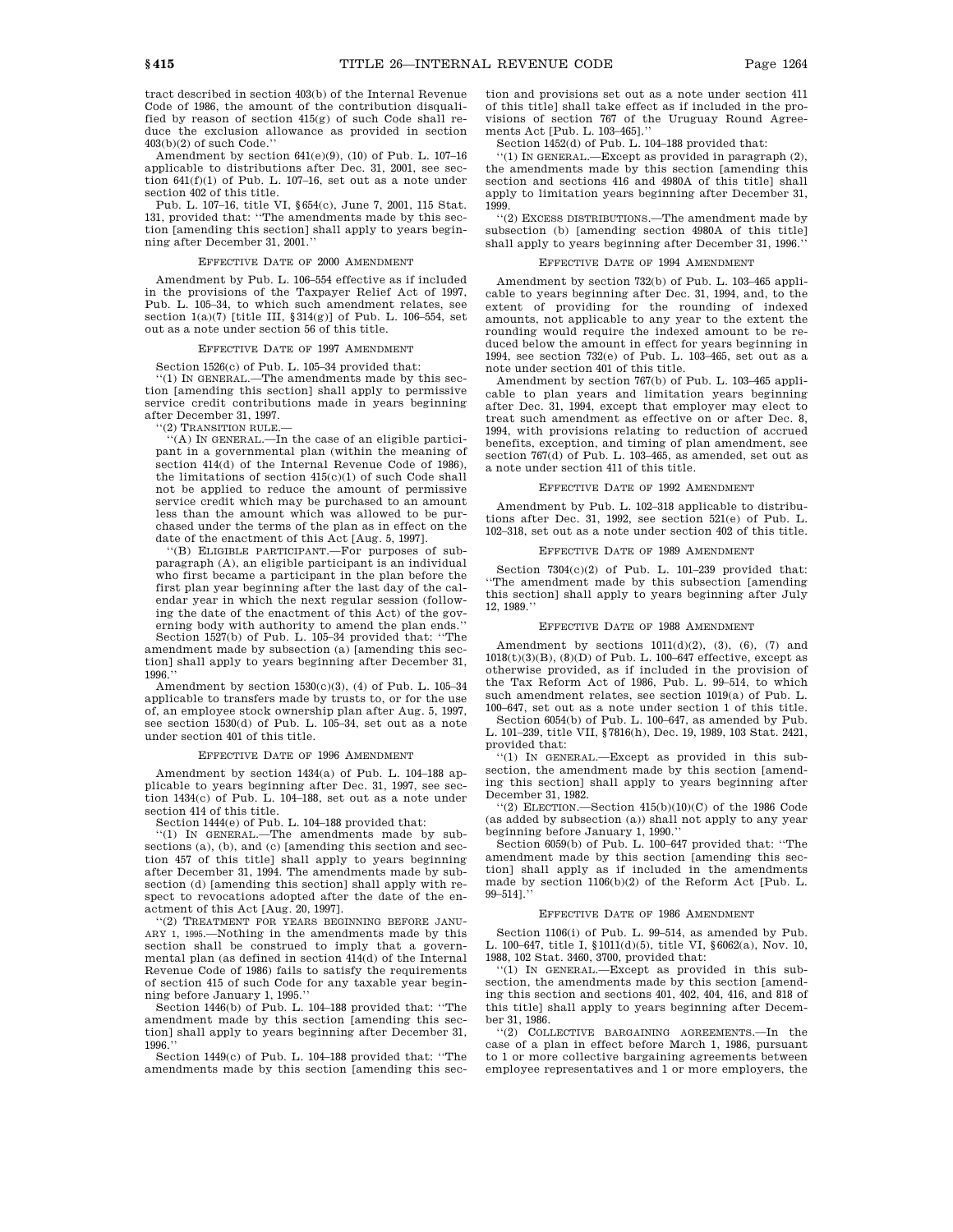tract described in section 403(b) of the Internal Revenue Code of 1986, the amount of the contribution disqualified by reason of section 415(g) of such Code shall reduce the exclusion allowance as provided in section 403(b)(2) of such Code.''

Amendment by section 641(e)(9), (10) of Pub. L. 107–16 applicable to distributions after Dec. 31, 2001, see section 641(f)(1) of Pub. L. 107–16, set out as a note under section 402 of this title.

Pub. L. 107–16, title VI, §654(c), June 7, 2001, 115 Stat. 131, provided that: ''The amendments made by this section [amending this section] shall apply to years beginning after December 31, 2001.''

#### EFFECTIVE DATE OF 2000 AMENDMENT

Amendment by Pub. L. 106–554 effective as if included in the provisions of the Taxpayer Relief Act of 1997, Pub. L. 105–34, to which such amendment relates, see section  $1(a)(7)$  [title III, § 314(g)] of Pub. L. 106–554, set out as a note under section 56 of this title.

### EFFECTIVE DATE OF 1997 AMENDMENT

Section 1526(c) of Pub. L. 105–34 provided that:

''(1) IN GENERAL.—The amendments made by this sec-tion [amending this section] shall apply to permissive service credit contributions made in years beginning after December 31, 1997.

'(2) TRANSITION RULE.-

''(A) IN GENERAL.—In the case of an eligible participant in a governmental plan (within the meaning of section  $414(d)$  of the Internal Revenue Code of 1986), the limitations of section 415(c)(1) of such Code shall not be applied to reduce the amount of permissive service credit which may be purchased to an amount less than the amount which was allowed to be purchased under the terms of the plan as in effect on the date of the enactment of this Act [Aug. 5, 1997].

''(B) ELIGIBLE PARTICIPANT.—For purposes of subparagraph (A), an eligible participant is an individual who first became a participant in the plan before the first plan year beginning after the last day of the calendar year in which the next regular session (following the date of the enactment of this Act) of the governing body with authority to amend the plan ends.'' Section 1527(b) of Pub. L. 105–34 provided that: ''The

amendment made by subsection (a) [amending this section] shall apply to years beginning after December 31, 1996.''

Amendment by section  $1530(c)(3)$ , (4) of Pub. L. 105-34 applicable to transfers made by trusts to, or for the use of, an employee stock ownership plan after Aug. 5, 1997, see section 1530(d) of Pub. L. 105–34, set out as a note under section 401 of this title.

#### EFFECTIVE DATE OF 1996 AMENDMENT

Amendment by section 1434(a) of Pub. L. 104–188 applicable to years beginning after Dec. 31, 1997, see section 1434(c) of Pub. L. 104–188, set out as a note under section 414 of this title.

Section 1444(e) of Pub. L. 104–188 provided that:<br>"(1) IN GENERAL.—The amendments made by subsections (a), (b), and (c) [amending this section and section 457 of this title] shall apply to years beginning after December 31, 1994. The amendments made by subsection (d) [amending this section] shall apply with respect to revocations adopted after the date of the enactment of this Act [Aug. 20, 1997].

''(2) TREATMENT FOR YEARS BEGINNING BEFORE JANU-ARY 1, 1995.—Nothing in the amendments made by this section shall be construed to imply that a governmental plan (as defined in section 414(d) of the Internal Revenue Code of 1986) fails to satisfy the requirements of section 415 of such Code for any taxable year beginning before January 1, 1995.''

Section 1446(b) of Pub. L. 104–188 provided that: ''The amendment made by this section [amending this section] shall apply to years beginning after December 31, 1996.''

Section 1449(c) of Pub. L. 104–188 provided that: ''The amendments made by this section [amending this section and provisions set out as a note under section 411 of this title] shall take effect as if included in the provisions of section 767 of the Uruguay Round Agreements Act [Pub. L. 103–465].''

Section 1452(d) of Pub. L. 104–188 provided that:

''(1) IN GENERAL.—Except as provided in paragraph (2), the amendments made by this section [amending this section and sections 416 and 4980A of this title] shall apply to limitation years beginning after December 31, 1999.

''(2) EXCESS DISTRIBUTIONS.—The amendment made by subsection (b) [amending section 4980A of this title] shall apply to years beginning after December 31, 1996.''

### EFFECTIVE DATE OF 1994 AMENDMENT

Amendment by section 732(b) of Pub. L. 103–465 applicable to years beginning after Dec. 31, 1994, and, to the extent of providing for the rounding of indexed amounts, not applicable to any year to the extent the rounding would require the indexed amount to be reduced below the amount in effect for years beginning in 1994, see section 732(e) of Pub. L. 103–465, set out as a note under section 401 of this title.

Amendment by section 767(b) of Pub. L. 103–465 applicable to plan years and limitation years beginning after Dec. 31, 1994, except that employer may elect to treat such amendment as effective on or after Dec. 8, 1994, with provisions relating to reduction of accrued benefits, exception, and timing of plan amendment, see section 767(d) of Pub. L. 103–465, as amended, set out as a note under section 411 of this title.

#### EFFECTIVE DATE OF 1992 AMENDMENT

Amendment by Pub. L. 102–318 applicable to distributions after Dec. 31, 1992, see section 521(e) of Pub. L. 102–318, set out as a note under section 402 of this title.

#### EFFECTIVE DATE OF 1989 AMENDMENT

Section 7304(c)(2) of Pub. L. 101–239 provided that: ''The amendment made by this subsection [amending this section] shall apply to years beginning after July 12, 1989.''

#### EFFECTIVE DATE OF 1988 AMENDMENT

Amendment by sections  $1011(d)(2)$ , (3), (6), (7) and  $1018(t)(3)(B)$ ,  $(8)(D)$  of Pub. L. 100-647 effective, except as otherwise provided, as if included in the provision of the Tax Reform Act of 1986, Pub. L. 99–514, to which such amendment relates, see section 1019(a) of Pub. L. 100–647, set out as a note under section 1 of this title.

Section 6054(b) of Pub. L. 100–647, as amended by Pub. L. 101–239, title VII, §7816(h), Dec. 19, 1989, 103 Stat. 2421, provided that:

''(1) IN GENERAL.—Except as provided in this subsection, the amendment made by this section [amending this section] shall apply to years beginning after December 31, 1982.

''(2) ELECTION.—Section 415(b)(10)(C) of the 1986 Code (as added by subsection (a)) shall not apply to any year beginning before January 1, 1990.''

Section 6059(b) of Pub. L. 100–647 provided that: ''The amendment made by this section [amending this section] shall apply as if included in the amendments made by section 1106(b)(2) of the Reform Act [Pub. L. 99–514].''

#### EFFECTIVE DATE OF 1986 AMENDMENT

Section 1106(i) of Pub. L. 99–514, as amended by Pub. L. 100–647, title I, §1011(d)(5), title VI, §6062(a), Nov. 10, 1988, 102 Stat. 3460, 3700, provided that:

''(1) IN GENERAL.—Except as provided in this subsection, the amendments made by this section [amending this section and sections 401, 402, 404, 416, and 818 of this title] shall apply to years beginning after December 31, 1986.

''(2) COLLECTIVE BARGAINING AGREEMENTS.—In the case of a plan in effect before March 1, 1986, pursuant to 1 or more collective bargaining agreements between employee representatives and 1 or more employers, the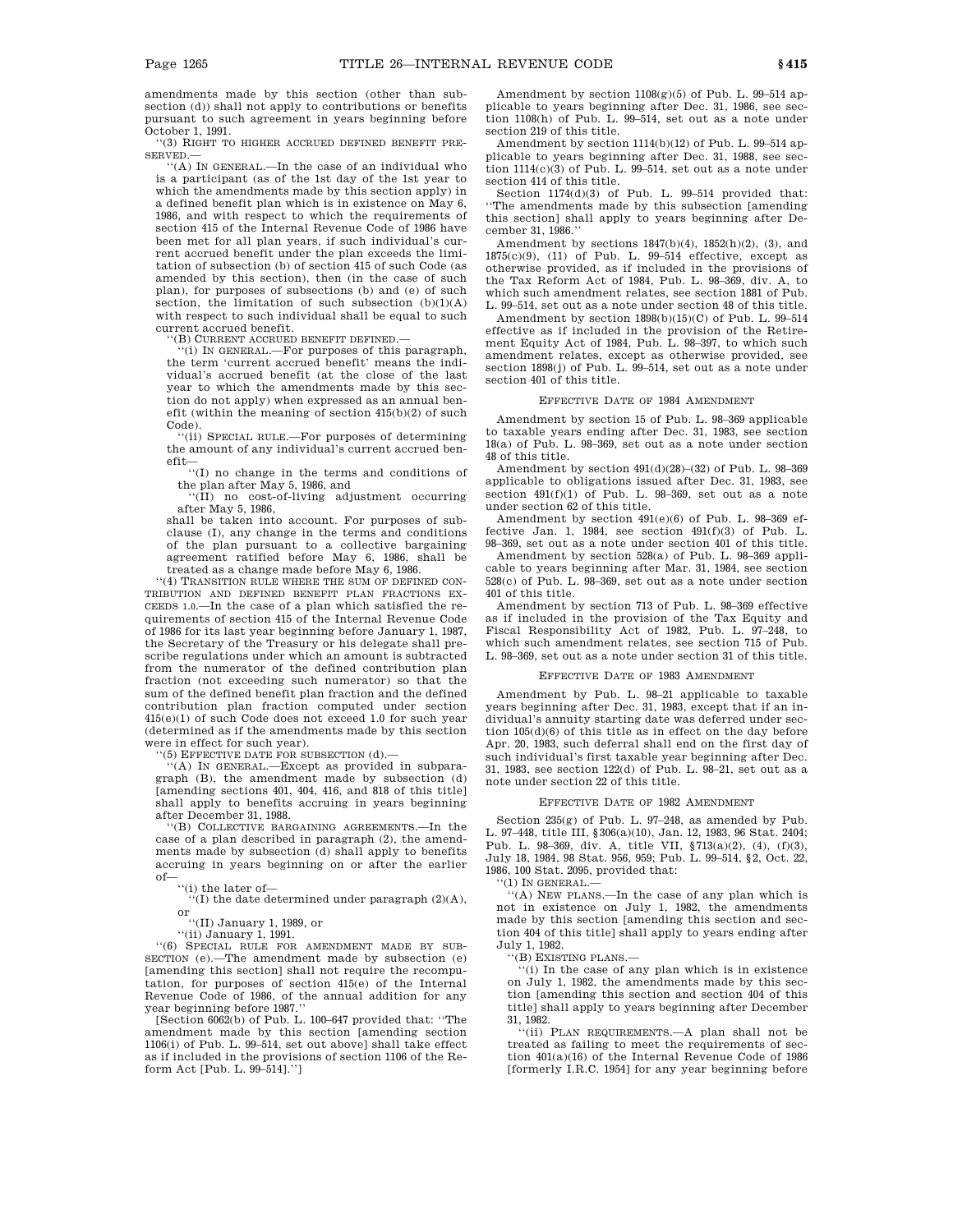amendments made by this section (other than subsection (d)) shall not apply to contributions or benefits pursuant to such agreement in years beginning before October 1, 1991.

''(3) RIGHT TO HIGHER ACCRUED DEFINED BENEFIT PRE-SERVED.—

''(A) IN GENERAL.—In the case of an individual who is a participant (as of the 1st day of the 1st year to which the amendments made by this section apply) in a defined benefit plan which is in existence on May 6, 1986, and with respect to which the requirements of section 415 of the Internal Revenue Code of 1986 have been met for all plan years, if such individual's current accrued benefit under the plan exceeds the limitation of subsection (b) of section 415 of such Code (as amended by this section), then (in the case of such plan), for purposes of subsections (b) and (e) of such section, the limitation of such subsection  $(b)(1)(A)$ with respect to such individual shall be equal to such current accrued benefit.

''(B) CURRENT ACCRUED BENEFIT DEFINED.—

''(i) IN GENERAL.—For purposes of this paragraph, the term 'current accrued benefit' means the individual's accrued benefit (at the close of the last year to which the amendments made by this section do not apply) when expressed as an annual benefit (within the meaning of section 415(b)(2) of such Code).

''(ii) SPECIAL RULE.—For purposes of determining the amount of any individual's current accrued benefit—

''(I) no change in the terms and conditions of the plan after May 5, 1986, and

''(II) no cost-of-living adjustment occurring after May 5, 1986,

shall be taken into account. For purposes of subclause (I), any change in the terms and conditions of the plan pursuant to a collective bargaining agreement ratified before May 6, 1986, shall be treated as a change made before May 6, 1986.

''(4) TRANSITION RULE WHERE THE SUM OF DEFINED CON-TRIBUTION AND DEFINED BENEFIT PLAN FRACTIONS EX-CEEDS 1.0.—In the case of a plan which satisfied the requirements of section 415 of the Internal Revenue Code of 1986 for its last year beginning before January 1, 1987, the Secretary of the Treasury or his delegate shall prescribe regulations under which an amount is subtracted from the numerator of the defined contribution plan fraction (not exceeding such numerator) so that the sum of the defined benefit plan fraction and the defined contribution plan fraction computed under section 415(e)(1) of such Code does not exceed 1.0 for such year (determined as if the amendments made by this section were in effect for such year).

''(5) EFFECTIVE DATE FOR SUBSECTION (d).—

''(A) IN GENERAL.—Except as provided in subparagraph (B), the amendment made by subsection (d) [amending sections 401, 404, 416, and 818 of this title] shall apply to benefits accruing in years beginning after December 31, 1988.

''(B) COLLECTIVE BARGAINING AGREEMENTS.—In the case of a plan described in paragraph (2), the amendments made by subsection (d) shall apply to benefits accruing in years beginning on or after the earlier of—

"(i) the later of—<br>"(I) the date determined under paragraph  $(2)(A)$ , or

''(II) January 1, 1989, or ''(ii) January 1, 1991.

''(6) SPECIAL RULE FOR AMENDMENT MADE BY SUB-SECTION (e).—The amendment made by subsection (e) [amending this section] shall not require the recomputation, for purposes of section 415(e) of the Internal Revenue Code of 1986, of the annual addition for any

year beginning before 1987.'' [Section 6062(b) of Pub. L. 100–647 provided that: ''The amendment made by this section [amending section 1106(i) of Pub. L. 99–514, set out above] shall take effect as if included in the provisions of section 1106 of the Reform Act [Pub. L. 99–514].'']

Amendment by section  $1108(g)(5)$  of Pub. L. 99-514 applicable to years beginning after Dec. 31, 1986, see section 1108(h) of Pub. L. 99–514, set out as a note under section 219 of this title.

Amendment by section 1114(b)(12) of Pub. L. 99–514 applicable to years beginning after Dec. 31, 1988, see section  $1114(c)(3)$  of Pub. L. 99-514, set out as a note under section 414 of this title.

Section 1174(d)(3) of Pub. L. 99–514 provided that: ''The amendments made by this subsection [amending this section] shall apply to years beginning after December 31, 1986.''

Amendment by sections  $1847(b)(4)$ ,  $1852(h)(2)$ , (3), and 1875(c)(9), (11) of Pub. L. 99–514 effective, except as otherwise provided, as if included in the provisions of the Tax Reform Act of 1984, Pub. L. 98–369, div. A, to which such amendment relates, see section 1881 of Pub. L. 99–514, set out as a note under section 48 of this title.

Amendment by section 1898(b)(15)(C) of Pub. L. 99–514 effective as if included in the provision of the Retirement Equity Act of 1984, Pub. L. 98–397, to which such amendment relates, except as otherwise provided, see section 1898(j) of Pub. L. 99–514, set out as a note under section 401 of this title.

#### EFFECTIVE DATE OF 1984 AMENDMENT

Amendment by section 15 of Pub. L. 98–369 applicable to taxable years ending after Dec. 31, 1983, see section 18(a) of Pub. L. 98–369, set out as a note under section 48 of this title.

Amendment by section 491(d)(28)–(32) of Pub. L. 98–369 applicable to obligations issued after Dec. 31, 1983, see section 491(f)(1) of Pub. L. 98–369, set out as a note under section 62 of this title.

Amendment by section 491(e)(6) of Pub. L. 98–369 effective Jan. 1, 1984, see section  $491(f)(3)$  of Pub. L. 98–369, set out as a note under section 401 of this title.

Amendment by section 528(a) of Pub. L. 98–369 applicable to years beginning after Mar. 31, 1984, see section 528(c) of Pub. L. 98–369, set out as a note under section 401 of this title.

Amendment by section 713 of Pub. L. 98–369 effective as if included in the provision of the Tax Equity and Fiscal Responsibility Act of 1982, Pub. L. 97–248, to which such amendment relates, see section 715 of Pub. L. 98–369, set out as a note under section 31 of this title.

#### EFFECTIVE DATE OF 1983 AMENDMENT

Amendment by Pub. L. 98–21 applicable to taxable years beginning after Dec. 31, 1983, except that if an individual's annuity starting date was deferred under section 105(d)(6) of this title as in effect on the day before Apr. 20, 1983, such deferral shall end on the first day of such individual's first taxable year beginning after Dec. 31, 1983, see section 122(d) of Pub. L. 98–21, set out as a note under section 22 of this title.

#### EFFECTIVE DATE OF 1982 AMENDMENT

Section 235(g) of Pub. L. 97–248, as amended by Pub. L. 97–448, title III, §306(a)(10), Jan. 12, 1983, 96 Stat. 2404; Pub. L. 98–369, div. A, title VII, §713(a)(2), (4), (f)(3), July 18, 1984, 98 Stat. 956, 959; Pub. L. 99–514, §2, Oct. 22, 1986, 100 Stat. 2095, provided that:

''(1) IN GENERAL.—

''(A) NEW PLANS.—In the case of any plan which is not in existence on July 1, 1982, the amendments made by this section [amending this section and section 404 of this title] shall apply to years ending after July 1, 1982.

''(B) EXISTING PLANS.—

''(i) In the case of any plan which is in existence on July 1, 1982, the amendments made by this section [amending this section and section 404 of this title] shall apply to years beginning after December 31, 1982.

''(ii) PLAN REQUIREMENTS.—A plan shall not be treated as failing to meet the requirements of section 401(a)(16) of the Internal Revenue Code of 1986 [formerly I.R.C. 1954] for any year beginning before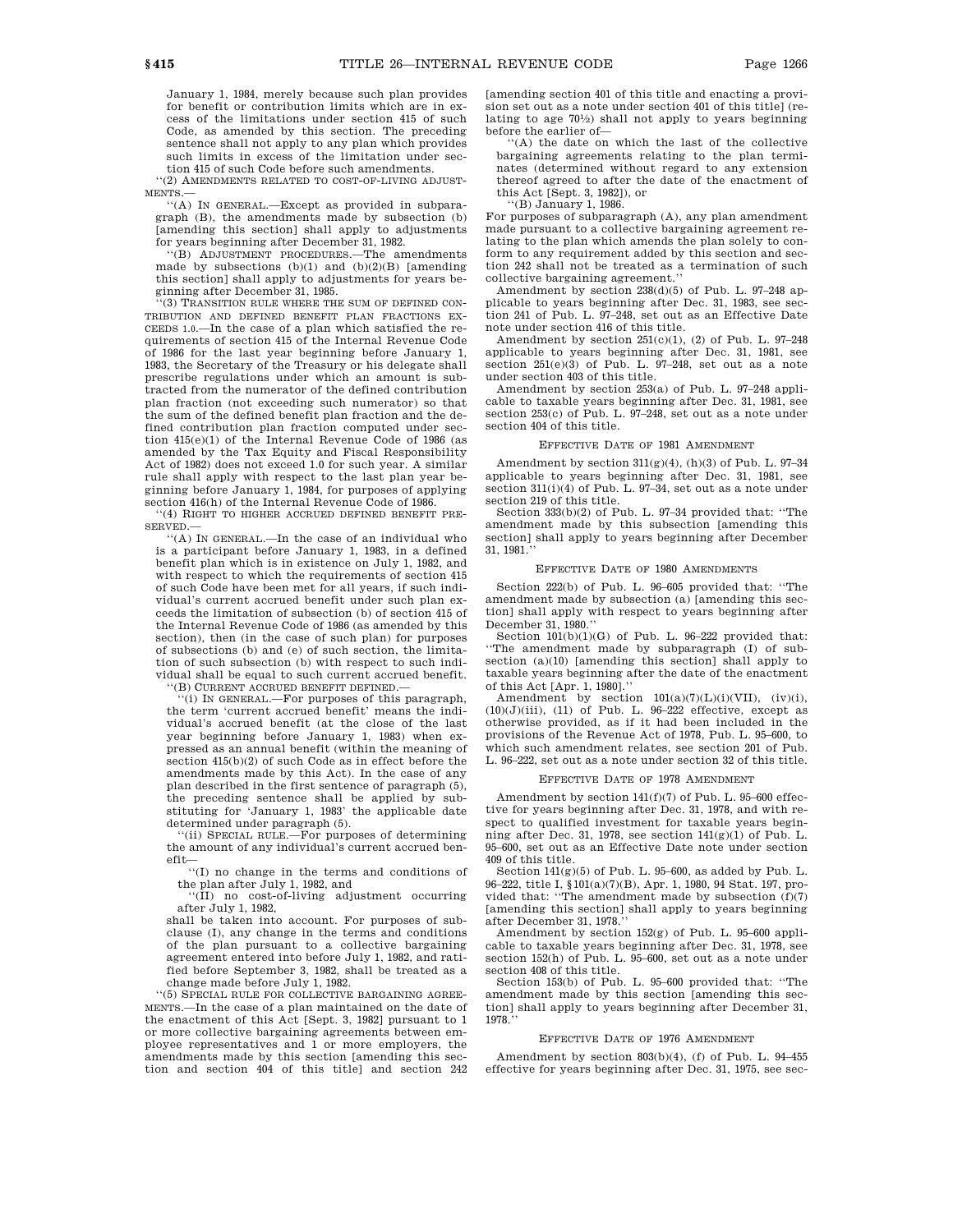January 1, 1984, merely because such plan provides for benefit or contribution limits which are in excess of the limitations under section 415 of such Code, as amended by this section. The preceding sentence shall not apply to any plan which provides such limits in excess of the limitation under sec-

tion 415 of such Code before such amendments. ''(2) AMENDMENTS RELATED TO COST-OF-LIVING ADJUST-

MENTS.— ''(A) IN GENERAL.—Except as provided in subpara-

graph (B), the amendments made by subsection (b) [amending this section] shall apply to adjustments for years beginning after December 31, 1982.

''(B) ADJUSTMENT PROCEDURES.—The amendments made by subsections (b)(1) and (b)(2)(B) [amending this section] shall apply to adjustments for years beginning after December 31, 1985.

'(3) TRANSITION RULE WHERE THE SUM OF DEFINED CON-TRIBUTION AND DEFINED BENEFIT PLAN FRACTIONS EX-CEEDS 1.0.—In the case of a plan which satisfied the requirements of section 415 of the Internal Revenue Code of 1986 for the last year beginning before January 1, 1983, the Secretary of the Treasury or his delegate shall prescribe regulations under which an amount is subtracted from the numerator of the defined contribution plan fraction (not exceeding such numerator) so that the sum of the defined benefit plan fraction and the defined contribution plan fraction computed under section 415(e)(1) of the Internal Revenue Code of 1986 (as amended by the Tax Equity and Fiscal Responsibility Act of 1982) does not exceed 1.0 for such year. A similar rule shall apply with respect to the last plan year beginning before January 1, 1984, for purposes of applying section 416(h) of the Internal Revenue Code of 1986

'(4) RIGHT TO HIGHER ACCRUED DEFINED BENEFIT PRE-SERVED.—

''(A) IN GENERAL.—In the case of an individual who is a participant before January 1, 1983, in a defined benefit plan which is in existence on July 1, 1982, and with respect to which the requirements of section 415 of such Code have been met for all years, if such individual's current accrued benefit under such plan exceeds the limitation of subsection (b) of section 415 of the Internal Revenue Code of 1986 (as amended by this section), then (in the case of such plan) for purposes of subsections (b) and (e) of such section, the limitation of such subsection (b) with respect to such individual shall be equal to such current accrued benefit.

''(B) CURRENT ACCRUED BENEFIT DEFINED.—

''(i) IN GENERAL.—For purposes of this paragraph, the term 'current accrued benefit' means the individual's accrued benefit (at the close of the last year beginning before January 1, 1983) when expressed as an annual benefit (within the meaning of section 415(b)(2) of such Code as in effect before the amendments made by this Act). In the case of any plan described in the first sentence of paragraph (5), the preceding sentence shall be applied by substituting for 'January 1, 1983' the applicable date

determined under paragraph (5). ''(ii) SPECIAL RULE.—For purposes of determining the amount of any individual's current accrued benefit—

''(I) no change in the terms and conditions of the plan after July 1, 1982, and

''(II) no cost-of-living adjustment occurring after July 1, 1982,

shall be taken into account. For purposes of subclause (I), any change in the terms and conditions of the plan pursuant to a collective bargaining agreement entered into before July 1, 1982, and ratified before September 3, 1982, shall be treated as a change made before July 1, 1982.

''(5) SPECIAL RULE FOR COLLECTIVE BARGAINING AGREE-MENTS.—In the case of a plan maintained on the date of the enactment of this Act [Sept. 3, 1982] pursuant to 1 or more collective bargaining agreements between employee representatives and 1 or more employers, the amendments made by this section [amending this section and section 404 of this title] and section 242 [amending section 401 of this title and enacting a provision set out as a note under section 401 of this title] (relating to age 701 ⁄2) shall not apply to years beginning before the earlier of—

''(A) the date on which the last of the collective bargaining agreements relating to the plan terminates (determined without regard to any extension thereof agreed to after the date of the enactment of this Act [Sept. 3, 1982]), or ''(B) January 1, 1986.

For purposes of subparagraph (A), any plan amendment made pursuant to a collective bargaining agreement relating to the plan which amends the plan solely to conform to any requirement added by this section and section 242 shall not be treated as a termination of such collective bargaining agreement.''

Amendment by section 238(d)(5) of Pub. L. 97–248 applicable to years beginning after Dec. 31, 1983, see section 241 of Pub. L. 97–248, set out as an Effective Date note under section 416 of this title.

Amendment by section 251(c)(1), (2) of Pub. L. 97–248 applicable to years beginning after Dec. 31, 1981, see section 251(e)(3) of Pub. L. 97–248, set out as a note under section 403 of this title.

Amendment by section 253(a) of Pub. L. 97–248 applicable to taxable years beginning after Dec. 31, 1981, see section 253(c) of Pub. L. 97–248, set out as a note under section 404 of this title.

#### EFFECTIVE DATE OF 1981 AMENDMENT

Amendment by section  $311(g)(4)$ ,  $(h)(3)$  of Pub. L. 97-34 applicable to years beginning after Dec. 31, 1981, see section 311(i)(4) of Pub. L. 97-34, set out as a note under section 219 of this title.

Section 333(b)(2) of Pub. L. 97–34 provided that: ''The amendment made by this subsection [amending this section] shall apply to years beginning after December 31, 1981.''

#### EFFECTIVE DATE OF 1980 AMENDMENTS

Section 222(b) of Pub. L. 96–605 provided that: ''The amendment made by subsection (a) [amending this section] shall apply with respect to years beginning after December 31, 1980.''

Section  $101(b)(1)(G)$  of Pub. L. 96-222 provided that: ''The amendment made by subparagraph (I) of subsection (a)(10) [amending this section] shall apply to taxable years beginning after the date of the enactment of this Act [Apr. 1, 1980].''

Amendment by section  $101(a)(7)(L)(i)(VII)$ , (iv)(i),  $(10)(J)(iii)$ ,  $(11)$  of Pub. L. 96-222 effective, except as otherwise provided, as if it had been included in the provisions of the Revenue Act of 1978, Pub. L. 95–600, to which such amendment relates, see section 201 of Pub. L. 96–222, set out as a note under section 32 of this title.

#### EFFECTIVE DATE OF 1978 AMENDMENT

Amendment by section 141(f)(7) of Pub. L. 95–600 effective for years beginning after Dec. 31, 1978, and with respect to qualified investment for taxable years beginning after Dec. 31, 1978, see section 141(g)(1) of Pub. L. 95–600, set out as an Effective Date note under section 409 of this title.

Section  $141(g)(5)$  of Pub. L. 95–600, as added by Pub. L. 96–222, title I, §101(a)(7)(B), Apr. 1, 1980, 94 Stat. 197, provided that: ''The amendment made by subsection (f)(7) [amending this section] shall apply to years beginning after December 31, 1978.''

Amendment by section 152(g) of Pub. L. 95–600 applicable to taxable years beginning after Dec. 31, 1978, see section 152(h) of Pub. L. 95–600, set out as a note under section 408 of this title.

Section 153(b) of Pub. L. 95–600 provided that: ''The amendment made by this section [amending this section] shall apply to years beginning after December 31, 1978.''

#### EFFECTIVE DATE OF 1976 AMENDMENT

Amendment by section 803(b)(4), (f) of Pub. L. 94–455 effective for years beginning after Dec. 31, 1975, see sec